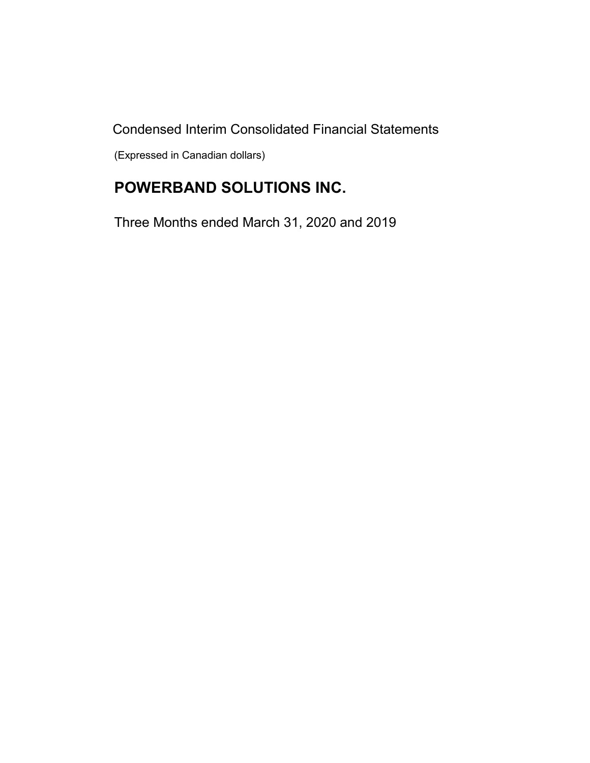Condensed Interim Consolidated Financial Statements

(Expressed in Canadian dollars)

# **POWERBAND SOLUTIONS INC.**

Three Months ended March 31, 2020 and 2019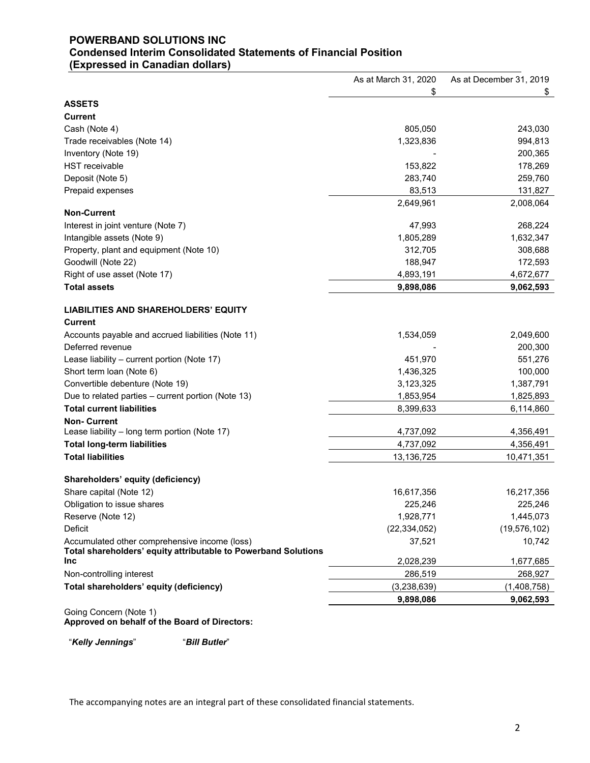### **POWERBAND SOLUTIONS INC Condensed Interim Consolidated Statements of Financial Position (Expressed in Canadian dollars)**

|                                                                | As at March 31, 2020 | As at December 31, 2019 |
|----------------------------------------------------------------|----------------------|-------------------------|
|                                                                | \$                   | \$                      |
| <b>ASSETS</b>                                                  |                      |                         |
| <b>Current</b>                                                 |                      |                         |
| Cash (Note 4)                                                  | 805,050              | 243,030                 |
| Trade receivables (Note 14)                                    | 1,323,836            | 994,813                 |
| Inventory (Note 19)                                            |                      | 200,365                 |
| <b>HST</b> receivable                                          | 153,822              | 178,269                 |
| Deposit (Note 5)                                               | 283,740              | 259,760                 |
| Prepaid expenses                                               | 83,513               | 131,827                 |
|                                                                | 2,649,961            | 2,008,064               |
| <b>Non-Current</b>                                             |                      |                         |
| Interest in joint venture (Note 7)                             | 47,993               | 268,224                 |
| Intangible assets (Note 9)                                     | 1,805,289            | 1,632,347               |
| Property, plant and equipment (Note 10)                        | 312,705              | 308,688                 |
| Goodwill (Note 22)                                             | 188,947              | 172,593                 |
| Right of use asset (Note 17)                                   | 4,893,191            | 4,672,677               |
| <b>Total assets</b>                                            | 9,898,086            | 9,062,593               |
|                                                                |                      |                         |
| <b>LIABILITIES AND SHAREHOLDERS' EQUITY</b>                    |                      |                         |
| <b>Current</b>                                                 |                      |                         |
| Accounts payable and accrued liabilities (Note 11)             | 1,534,059            | 2,049,600               |
| Deferred revenue                                               |                      | 200,300                 |
| Lease liability - current portion (Note 17)                    | 451,970              | 551,276                 |
| Short term loan (Note 6)                                       | 1,436,325            | 100,000                 |
| Convertible debenture (Note 19)                                | 3,123,325            | 1,387,791               |
| Due to related parties - current portion (Note 13)             | 1,853,954            | 1,825,893               |
| <b>Total current liabilities</b>                               | 8,399,633            | 6,114,860               |
| <b>Non-Current</b>                                             |                      |                         |
| Lease liability - long term portion (Note 17)                  | 4,737,092            | 4,356,491               |
| <b>Total long-term liabilities</b>                             | 4,737,092            | 4,356,491               |
| <b>Total liabilities</b>                                       | 13,136,725           | 10,471,351              |
|                                                                |                      |                         |
| Shareholders' equity (deficiency)                              |                      |                         |
| Share capital (Note 12)                                        | 16,617,356           | 16,217,356              |
| Obligation to issue shares                                     | 225,246              | 225,246                 |
| Reserve (Note 12)                                              | 1,928,771            | 1,445,073               |
| Deficit                                                        | (22, 334, 052)       | (19, 576, 102)          |
| Accumulated other comprehensive income (loss)                  | 37,521               | 10,742                  |
| Total shareholders' equity attributable to Powerband Solutions |                      |                         |
| <b>Inc</b>                                                     | 2,028,239            | 1,677,685               |
| Non-controlling interest                                       | 286,519              | 268,927                 |
| Total shareholders' equity (deficiency)                        | (3,238,639)          | (1,408,758)             |
|                                                                | 9,898,086            | 9,062,593               |
| Going Concern (Note 1)                                         |                      |                         |

**Approved on behalf of the Board of Directors:**

"*Kelly Jennings*" "*Bill Butler*"

The accompanying notes are an integral part of these consolidated financial statements.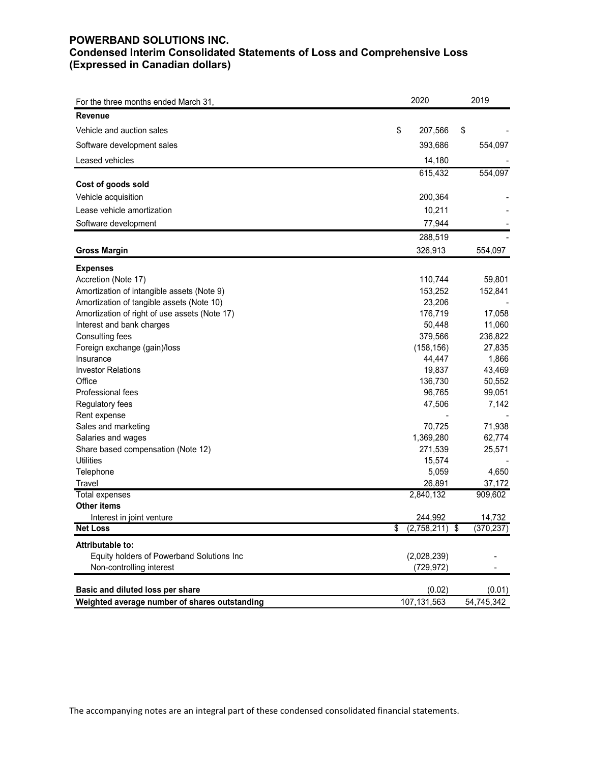### **POWERBAND SOLUTIONS INC. Condensed Interim Consolidated Statements of Loss and Comprehensive Loss (Expressed in Canadian dollars)**

| <b>Revenue</b><br>Vehicle and auction sales<br>\$<br>207,566<br>\$<br>393,686<br>Software development sales<br>Leased vehicles<br>14,180<br>615,432<br>554,097<br>Cost of goods sold<br>Vehicle acquisition<br>200,364<br>Lease vehicle amortization<br>10,211<br>Software development<br>77,944<br>288,519<br>326,913<br>554,097<br><b>Gross Margin</b><br><b>Expenses</b><br>110,744<br>Accretion (Note 17)<br>Amortization of intangible assets (Note 9)<br>153,252<br>23,206<br>Amortization of tangible assets (Note 10)<br>176,719<br>17,058<br>Amortization of right of use assets (Note 17)<br>Interest and bank charges<br>50,448 | For the three months ended March 31, | 2020 | 2019       |
|--------------------------------------------------------------------------------------------------------------------------------------------------------------------------------------------------------------------------------------------------------------------------------------------------------------------------------------------------------------------------------------------------------------------------------------------------------------------------------------------------------------------------------------------------------------------------------------------------------------------------------------------|--------------------------------------|------|------------|
|                                                                                                                                                                                                                                                                                                                                                                                                                                                                                                                                                                                                                                            |                                      |      |            |
|                                                                                                                                                                                                                                                                                                                                                                                                                                                                                                                                                                                                                                            |                                      |      |            |
|                                                                                                                                                                                                                                                                                                                                                                                                                                                                                                                                                                                                                                            |                                      |      | 554,097    |
|                                                                                                                                                                                                                                                                                                                                                                                                                                                                                                                                                                                                                                            |                                      |      |            |
|                                                                                                                                                                                                                                                                                                                                                                                                                                                                                                                                                                                                                                            |                                      |      |            |
|                                                                                                                                                                                                                                                                                                                                                                                                                                                                                                                                                                                                                                            |                                      |      |            |
|                                                                                                                                                                                                                                                                                                                                                                                                                                                                                                                                                                                                                                            |                                      |      |            |
|                                                                                                                                                                                                                                                                                                                                                                                                                                                                                                                                                                                                                                            |                                      |      |            |
|                                                                                                                                                                                                                                                                                                                                                                                                                                                                                                                                                                                                                                            |                                      |      |            |
|                                                                                                                                                                                                                                                                                                                                                                                                                                                                                                                                                                                                                                            |                                      |      |            |
|                                                                                                                                                                                                                                                                                                                                                                                                                                                                                                                                                                                                                                            |                                      |      |            |
|                                                                                                                                                                                                                                                                                                                                                                                                                                                                                                                                                                                                                                            |                                      |      |            |
|                                                                                                                                                                                                                                                                                                                                                                                                                                                                                                                                                                                                                                            |                                      |      |            |
|                                                                                                                                                                                                                                                                                                                                                                                                                                                                                                                                                                                                                                            |                                      |      | 59,801     |
|                                                                                                                                                                                                                                                                                                                                                                                                                                                                                                                                                                                                                                            |                                      |      | 152,841    |
|                                                                                                                                                                                                                                                                                                                                                                                                                                                                                                                                                                                                                                            |                                      |      |            |
|                                                                                                                                                                                                                                                                                                                                                                                                                                                                                                                                                                                                                                            |                                      |      |            |
|                                                                                                                                                                                                                                                                                                                                                                                                                                                                                                                                                                                                                                            |                                      |      | 11,060     |
| 379,566<br>Consulting fees                                                                                                                                                                                                                                                                                                                                                                                                                                                                                                                                                                                                                 |                                      |      | 236,822    |
| (158, 156)<br>Foreign exchange (gain)/loss                                                                                                                                                                                                                                                                                                                                                                                                                                                                                                                                                                                                 |                                      |      | 27,835     |
| 44,447<br>Insurance                                                                                                                                                                                                                                                                                                                                                                                                                                                                                                                                                                                                                        |                                      |      | 1,866      |
| <b>Investor Relations</b><br>19,837                                                                                                                                                                                                                                                                                                                                                                                                                                                                                                                                                                                                        |                                      |      | 43,469     |
| 136,730<br>Office                                                                                                                                                                                                                                                                                                                                                                                                                                                                                                                                                                                                                          |                                      |      | 50,552     |
| Professional fees<br>96,765                                                                                                                                                                                                                                                                                                                                                                                                                                                                                                                                                                                                                |                                      |      | 99,051     |
| Regulatory fees<br>47,506                                                                                                                                                                                                                                                                                                                                                                                                                                                                                                                                                                                                                  |                                      |      | 7,142      |
| Rent expense                                                                                                                                                                                                                                                                                                                                                                                                                                                                                                                                                                                                                               |                                      |      |            |
| 70,725<br>Sales and marketing                                                                                                                                                                                                                                                                                                                                                                                                                                                                                                                                                                                                              |                                      |      | 71,938     |
| 1,369,280<br>Salaries and wages                                                                                                                                                                                                                                                                                                                                                                                                                                                                                                                                                                                                            |                                      |      | 62,774     |
| 271,539<br>Share based compensation (Note 12)                                                                                                                                                                                                                                                                                                                                                                                                                                                                                                                                                                                              |                                      |      | 25,571     |
| <b>Utilities</b><br>15,574                                                                                                                                                                                                                                                                                                                                                                                                                                                                                                                                                                                                                 |                                      |      |            |
| 5,059<br>Telephone                                                                                                                                                                                                                                                                                                                                                                                                                                                                                                                                                                                                                         |                                      |      | 4,650      |
| 26,891<br>Travel                                                                                                                                                                                                                                                                                                                                                                                                                                                                                                                                                                                                                           |                                      |      | 37,172     |
| 2,840,132<br><b>Total expenses</b>                                                                                                                                                                                                                                                                                                                                                                                                                                                                                                                                                                                                         |                                      |      | 909,602    |
| Other items                                                                                                                                                                                                                                                                                                                                                                                                                                                                                                                                                                                                                                |                                      |      |            |
| 244,992<br>Interest in joint venture                                                                                                                                                                                                                                                                                                                                                                                                                                                                                                                                                                                                       |                                      |      | 14,732     |
| <b>Net Loss</b><br>\$<br>$(2,758,211)$ \$                                                                                                                                                                                                                                                                                                                                                                                                                                                                                                                                                                                                  |                                      |      | (370, 237) |
| Attributable to:                                                                                                                                                                                                                                                                                                                                                                                                                                                                                                                                                                                                                           |                                      |      |            |
| Equity holders of Powerband Solutions Inc<br>(2,028,239)                                                                                                                                                                                                                                                                                                                                                                                                                                                                                                                                                                                   |                                      |      |            |
| Non-controlling interest<br>(729, 972)                                                                                                                                                                                                                                                                                                                                                                                                                                                                                                                                                                                                     |                                      |      |            |
| Basic and diluted loss per share<br>(0.02)                                                                                                                                                                                                                                                                                                                                                                                                                                                                                                                                                                                                 |                                      |      | (0.01)     |
| 107,131,563<br>Weighted average number of shares outstanding<br>54,745,342                                                                                                                                                                                                                                                                                                                                                                                                                                                                                                                                                                 |                                      |      |            |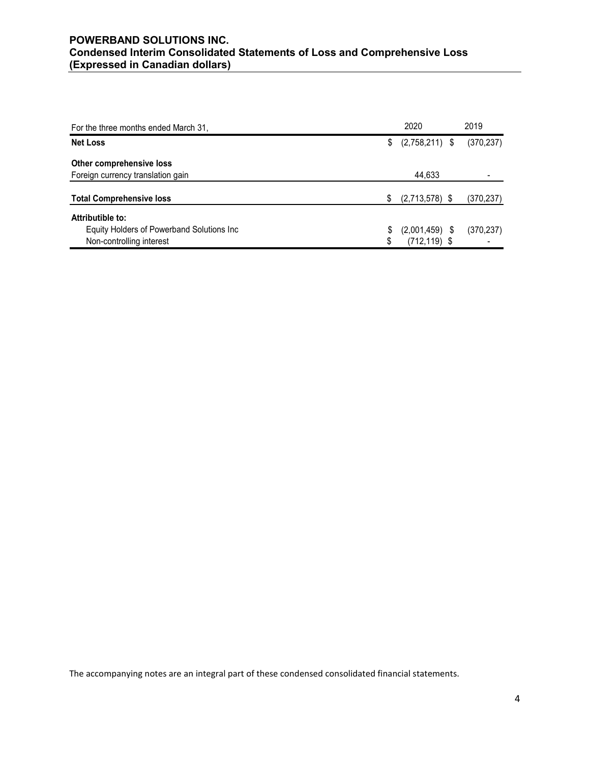### **POWERBAND SOLUTIONS INC. Condensed Interim Consolidated Statements of Loss and Comprehensive Loss (Expressed in Canadian dollars)**

| For the three months ended March 31,      |    | 2020             | 2019       |
|-------------------------------------------|----|------------------|------------|
| <b>Net Loss</b>                           | \$ | $(2,758,211)$ \$ | (370, 237) |
| Other comprehensive loss                  |    |                  |            |
| Foreign currency translation gain         |    | 44,633           |            |
| <b>Total Comprehensive loss</b>           | S. | $(2,713,578)$ \$ | (370, 237) |
| Attributible to:                          |    |                  |            |
| Equity Holders of Powerband Solutions Inc | \$ | $(2,001,459)$ \$ | (370, 237) |
| Non-controlling interest                  | \$ | $(712, 119)$ \$  |            |

The accompanying notes are an integral part of these condensed consolidated financial statements.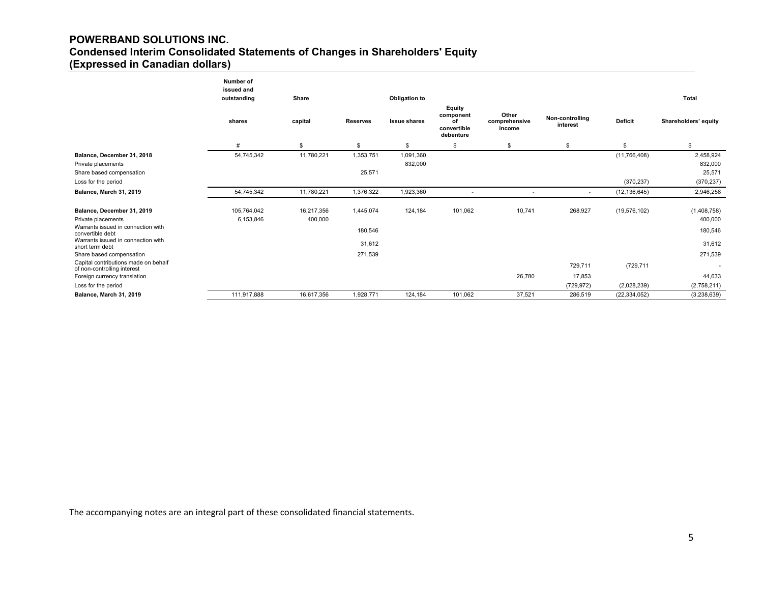### **POWERBAND SOLUTIONS INC. Condensed Interim Consolidated Statements of Changes in Shareholders' Equity (Expressed in Canadian dollars)**

|                                                                                        | Number of<br>issued and<br>outstanding | Share                 |                 | Obligation to        |                                                       |                                  |                             |                | <b>Total</b>           |
|----------------------------------------------------------------------------------------|----------------------------------------|-----------------------|-----------------|----------------------|-------------------------------------------------------|----------------------------------|-----------------------------|----------------|------------------------|
|                                                                                        | shares                                 | capital               | <b>Reserves</b> | <b>Issue shares</b>  | Equity<br>component<br>οf<br>convertible<br>debenture | Other<br>comprehensive<br>income | Non-controlling<br>interest | Deficit        | Shareholders' equity   |
|                                                                                        | #                                      | \$                    | \$              | \$                   | \$                                                    | \$                               | \$                          | \$             | \$                     |
| Balance, December 31, 2018<br>Private placements                                       | 54,745,342                             | 11,780,221            | 1,353,751       | 1,091,360<br>832,000 |                                                       |                                  |                             | (11,766,408)   | 2,458,924<br>832,000   |
| Share based compensation                                                               |                                        |                       | 25,571          |                      |                                                       |                                  |                             |                | 25,571                 |
| Loss for the period                                                                    |                                        |                       |                 |                      |                                                       |                                  |                             | (370, 237)     | (370, 237)             |
| Balance, March 31, 2019                                                                | 54,745,342                             | 11,780,221            | 1,376,322       | 1,923,360            | ٠                                                     | ٠                                | $\overline{a}$              | (12, 136, 645) | 2,946,258              |
| Balance, December 31, 2019<br>Private placements<br>Warrants issued in connection with | 105,764,042<br>6,153,846               | 16,217,356<br>400,000 | 1,445,074       | 124,184              | 101,062                                               | 10,741                           | 268,927                     | (19, 576, 102) | (1,408,758)<br>400,000 |
| convertible debt                                                                       |                                        |                       | 180,546         |                      |                                                       |                                  |                             |                | 180,546                |
| Warrants issued in connection with<br>short term debt                                  |                                        |                       | 31,612          |                      |                                                       |                                  |                             |                | 31,612                 |
| Share based compensation                                                               |                                        |                       | 271,539         |                      |                                                       |                                  |                             |                | 271,539                |
| Capital contributions made on behalf<br>of non-controlling interest                    |                                        |                       |                 |                      |                                                       |                                  | 729,711                     | (729,711       |                        |
| Foreign currency translation                                                           |                                        |                       |                 |                      |                                                       | 26,780                           | 17,853                      |                | 44,633                 |
| Loss for the period                                                                    |                                        |                       |                 |                      |                                                       |                                  | (729, 972)                  | (2,028,239)    | (2,758,211)            |
| Balance, March 31, 2019                                                                | 111,917,888                            | 16,617,356            | 1.928.771       | 124,184              | 101,062                                               | 37,521                           | 286,519                     | (22, 334, 052) | (3,238,639)            |

The accompanying notes are an integral part of these consolidated financial statements.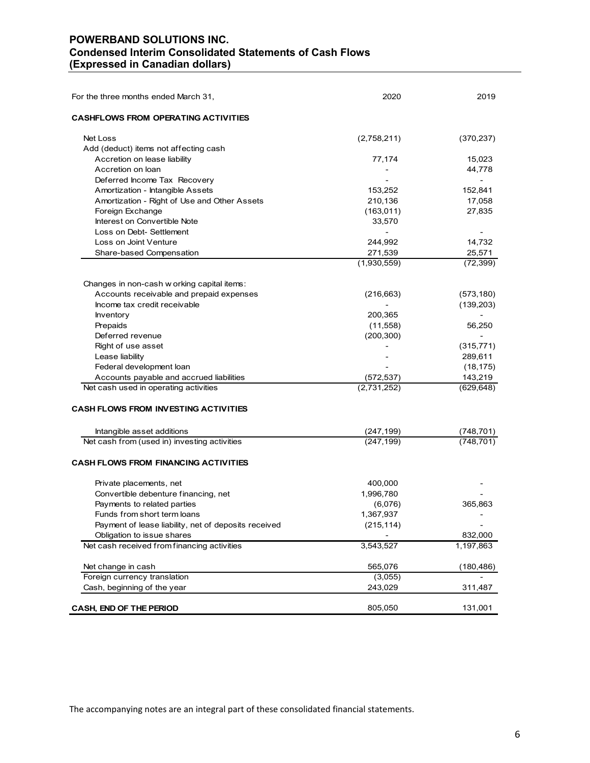### **POWERBAND SOLUTIONS INC. Condensed Interim Consolidated Statements of Cash Flows (Expressed in Canadian dollars)**

| For the three months ended March 31,                 | 2020           | 2019           |
|------------------------------------------------------|----------------|----------------|
| <b>CASHFLOWS FROM OPERATING ACTIVITIES</b>           |                |                |
| Net Loss                                             | (2,758,211)    | (370, 237)     |
| Add (deduct) items not affecting cash                |                |                |
| Accretion on lease liability                         | 77,174         | 15,023         |
| Accretion on loan                                    |                | 44,778         |
| Deferred Income Tax Recovery                         |                | $\overline{a}$ |
| Amortization - Intangible Assets                     | 153,252        | 152,841        |
| Amortization - Right of Use and Other Assets         | 210,136        | 17,058         |
| Foreign Exchange                                     | (163, 011)     | 27,835         |
| Interest on Convertible Note                         | 33,570         |                |
| Loss on Debt- Settlement                             | $\overline{a}$ |                |
| Loss on Joint Venture                                | 244,992        | 14,732         |
| Share-based Compensation                             | 271,539        | 25,571         |
|                                                      | (1,930,559)    | (72, 399)      |
| Changes in non-cash w orking capital items:          |                |                |
| Accounts receivable and prepaid expenses             | (216, 663)     | (573, 180)     |
| Income tax credit receivable                         |                | (139, 203)     |
| Inventory                                            | 200,365        |                |
| Prepaids                                             | (11,558)       | 56,250         |
| Deferred revenue                                     | (200, 300)     |                |
| Right of use asset                                   |                | (315, 771)     |
| Lease liability                                      |                | 289,611        |
| Federal development loan                             |                | (18, 175)      |
| Accounts payable and accrued liabilities             | (572, 537)     | 143,219        |
| Net cash used in operating activities                | (2,731,252)    | (629, 648)     |
| <b>CASH FLOWS FROM INVESTING ACTIVITIES</b>          |                |                |
| Intangible asset additions                           | (247,199)      | (748,701)      |
| Net cash from (used in) investing activities         | (247, 199)     | (748, 701)     |
| <b>CASH FLOWS FROM FINANCING ACTIVITIES</b>          |                |                |
| Private placements, net                              | 400,000        |                |
| Convertible debenture financing, net                 | 1,996,780      |                |
| Payments to related parties                          | (6,076)        | 365,863        |
| Funds from short term loans                          | 1,367,937      |                |
| Payment of lease liability, net of deposits received | (215, 114)     |                |
| Obligation to issue shares                           |                | 832,000        |
| Net cash received from financing activities          | 3,543,527      | 1,197,863      |
| Net change in cash                                   | 565,076        | (180,486)      |
| Foreign currency translation                         | (3,055)        |                |
| Cash, beginning of the year                          | 243,029        | 311,487        |
| CASH, END OF THE PERIOD                              | 805,050        | 131,001        |

The accompanying notes are an integral part of these consolidated financial statements.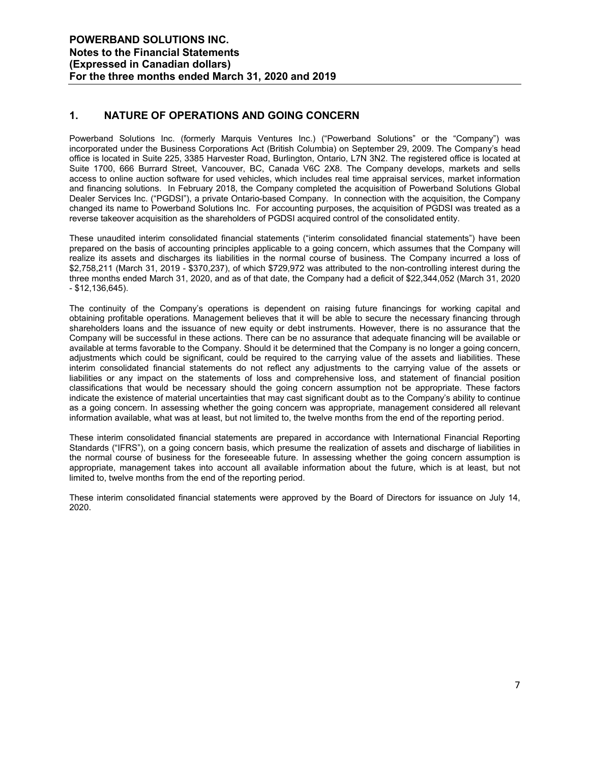### **1. NATURE OF OPERATIONS AND GOING CONCERN**

Powerband Solutions Inc. (formerly Marquis Ventures Inc.) ("Powerband Solutions" or the "Company") was incorporated under the Business Corporations Act (British Columbia) on September 29, 2009. The Company's head office is located in Suite 225, 3385 Harvester Road, Burlington, Ontario, L7N 3N2. The registered office is located at Suite 1700, 666 Burrard Street, Vancouver, BC, Canada V6C 2X8. The Company develops, markets and sells access to online auction software for used vehicles, which includes real time appraisal services, market information and financing solutions. In February 2018, the Company completed the acquisition of Powerband Solutions Global Dealer Services Inc. ("PGDSI"), a private Ontario-based Company. In connection with the acquisition, the Company changed its name to Powerband Solutions Inc. For accounting purposes, the acquisition of PGDSI was treated as a reverse takeover acquisition as the shareholders of PGDSI acquired control of the consolidated entity.

These unaudited interim consolidated financial statements ("interim consolidated financial statements") have been prepared on the basis of accounting principles applicable to a going concern, which assumes that the Company will realize its assets and discharges its liabilities in the normal course of business. The Company incurred a loss of \$2,758,211 (March 31, 2019 - \$370,237), of which \$729,972 was attributed to the non-controlling interest during the three months ended March 31, 2020, and as of that date, the Company had a deficit of \$22,344,052 (March 31, 2020 - \$12,136,645).

The continuity of the Company's operations is dependent on raising future financings for working capital and obtaining profitable operations. Management believes that it will be able to secure the necessary financing through shareholders loans and the issuance of new equity or debt instruments. However, there is no assurance that the Company will be successful in these actions. There can be no assurance that adequate financing will be available or available at terms favorable to the Company. Should it be determined that the Company is no longer a going concern, adjustments which could be significant, could be required to the carrying value of the assets and liabilities. These interim consolidated financial statements do not reflect any adjustments to the carrying value of the assets or liabilities or any impact on the statements of loss and comprehensive loss, and statement of financial position classifications that would be necessary should the going concern assumption not be appropriate. These factors indicate the existence of material uncertainties that may cast significant doubt as to the Company's ability to continue as a going concern. In assessing whether the going concern was appropriate, management considered all relevant information available, what was at least, but not limited to, the twelve months from the end of the reporting period.

These interim consolidated financial statements are prepared in accordance with International Financial Reporting Standards ("IFRS"), on a going concern basis, which presume the realization of assets and discharge of liabilities in the normal course of business for the foreseeable future. In assessing whether the going concern assumption is appropriate, management takes into account all available information about the future, which is at least, but not limited to, twelve months from the end of the reporting period.

These interim consolidated financial statements were approved by the Board of Directors for issuance on July 14, 2020.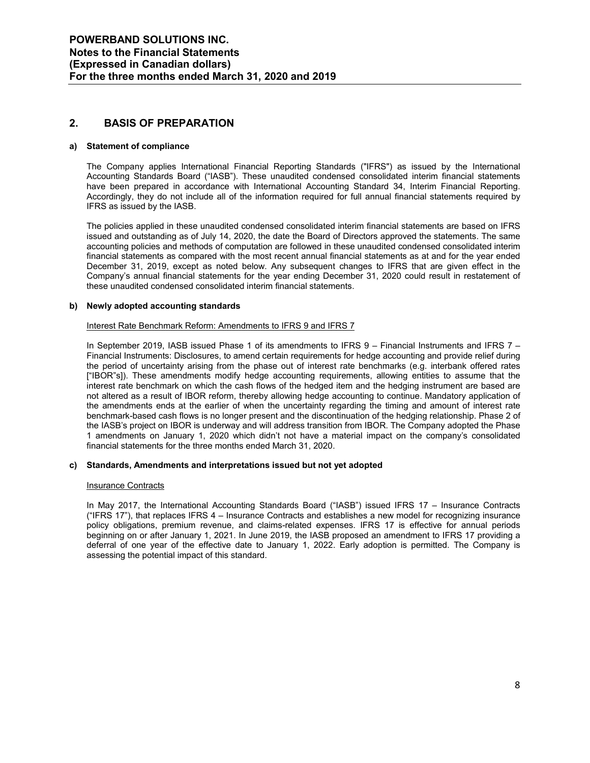### **2. BASIS OF PREPARATION**

#### **a) Statement of compliance**

The Company applies International Financial Reporting Standards ("IFRS") as issued by the International Accounting Standards Board ("IASB"). These unaudited condensed consolidated interim financial statements have been prepared in accordance with International Accounting Standard 34, Interim Financial Reporting. Accordingly, they do not include all of the information required for full annual financial statements required by IFRS as issued by the IASB.

The policies applied in these unaudited condensed consolidated interim financial statements are based on IFRS issued and outstanding as of July 14, 2020, the date the Board of Directors approved the statements. The same accounting policies and methods of computation are followed in these unaudited condensed consolidated interim financial statements as compared with the most recent annual financial statements as at and for the year ended December 31, 2019, except as noted below. Any subsequent changes to IFRS that are given effect in the Company's annual financial statements for the year ending December 31, 2020 could result in restatement of these unaudited condensed consolidated interim financial statements.

#### **b) Newly adopted accounting standards**

#### Interest Rate Benchmark Reform: Amendments to IFRS 9 and IFRS 7

In September 2019, IASB issued Phase 1 of its amendments to IFRS 9 – Financial Instruments and IFRS 7 – Financial Instruments: Disclosures, to amend certain requirements for hedge accounting and provide relief during the period of uncertainty arising from the phase out of interest rate benchmarks (e.g. interbank offered rates ["IBOR"s]). These amendments modify hedge accounting requirements, allowing entities to assume that the interest rate benchmark on which the cash flows of the hedged item and the hedging instrument are based are not altered as a result of IBOR reform, thereby allowing hedge accounting to continue. Mandatory application of the amendments ends at the earlier of when the uncertainty regarding the timing and amount of interest rate benchmark-based cash flows is no longer present and the discontinuation of the hedging relationship. Phase 2 of the IASB's project on IBOR is underway and will address transition from IBOR. The Company adopted the Phase 1 amendments on January 1, 2020 which didn't not have a material impact on the company's consolidated financial statements for the three months ended March 31, 2020.

#### **c) Standards, Amendments and interpretations issued but not yet adopted**

#### Insurance Contracts

In May 2017, the International Accounting Standards Board ("IASB") issued IFRS 17 – Insurance Contracts ("IFRS 17"), that replaces IFRS 4 – Insurance Contracts and establishes a new model for recognizing insurance policy obligations, premium revenue, and claims-related expenses. IFRS 17 is effective for annual periods beginning on or after January 1, 2021. In June 2019, the IASB proposed an amendment to IFRS 17 providing a deferral of one year of the effective date to January 1, 2022. Early adoption is permitted. The Company is assessing the potential impact of this standard.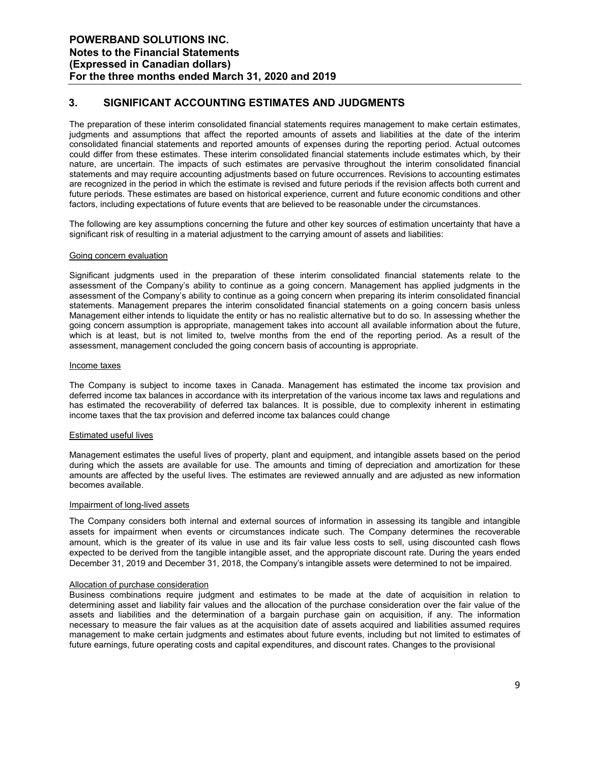### **3. SIGNIFICANT ACCOUNTING ESTIMATES AND JUDGMENTS**

The preparation of these interim consolidated financial statements requires management to make certain estimates, judgments and assumptions that affect the reported amounts of assets and liabilities at the date of the interim consolidated financial statements and reported amounts of expenses during the reporting period. Actual outcomes could differ from these estimates. These interim consolidated financial statements include estimates which, by their nature, are uncertain. The impacts of such estimates are pervasive throughout the interim consolidated financial statements and may require accounting adjustments based on future occurrences. Revisions to accounting estimates are recognized in the period in which the estimate is revised and future periods if the revision affects both current and future periods. These estimates are based on historical experience, current and future economic conditions and other factors, including expectations of future events that are believed to be reasonable under the circumstances.

The following are key assumptions concerning the future and other key sources of estimation uncertainty that have a significant risk of resulting in a material adjustment to the carrying amount of assets and liabilities:

#### Going concern evaluation

Significant judgments used in the preparation of these interim consolidated financial statements relate to the assessment of the Company's ability to continue as a going concern. Management has applied judgments in the assessment of the Company's ability to continue as a going concern when preparing its interim consolidated financial statements. Management prepares the interim consolidated financial statements on a going concern basis unless Management either intends to liquidate the entity or has no realistic alternative but to do so. In assessing whether the going concern assumption is appropriate, management takes into account all available information about the future, which is at least, but is not limited to, twelve months from the end of the reporting period. As a result of the assessment, management concluded the going concern basis of accounting is appropriate.

#### Income taxes

The Company is subject to income taxes in Canada. Management has estimated the income tax provision and deferred income tax balances in accordance with its interpretation of the various income tax laws and regulations and has estimated the recoverability of deferred tax balances. It is possible, due to complexity inherent in estimating income taxes that the tax provision and deferred income tax balances could change

#### Estimated useful lives

Management estimates the useful lives of property, plant and equipment, and intangible assets based on the period during which the assets are available for use. The amounts and timing of depreciation and amortization for these amounts are affected by the useful lives. The estimates are reviewed annually and are adjusted as new information becomes available.

#### Impairment of long-lived assets

The Company considers both internal and external sources of information in assessing its tangible and intangible assets for impairment when events or circumstances indicate such. The Company determines the recoverable amount, which is the greater of its value in use and its fair value less costs to sell, using discounted cash flows expected to be derived from the tangible intangible asset, and the appropriate discount rate. During the years ended December 31, 2019 and December 31, 2018, the Company's intangible assets were determined to not be impaired.

#### Allocation of purchase consideration

Business combinations require judgment and estimates to be made at the date of acquisition in relation to determining asset and liability fair values and the allocation of the purchase consideration over the fair value of the assets and liabilities and the determination of a bargain purchase gain on acquisition, if any. The information necessary to measure the fair values as at the acquisition date of assets acquired and liabilities assumed requires management to make certain judgments and estimates about future events, including but not limited to estimates of future earnings, future operating costs and capital expenditures, and discount rates. Changes to the provisional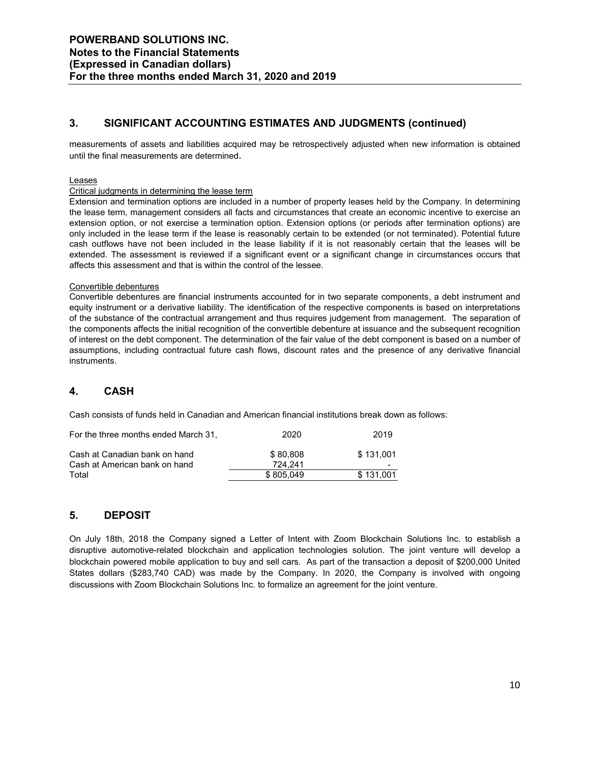### **3. SIGNIFICANT ACCOUNTING ESTIMATES AND JUDGMENTS (continued)**

measurements of assets and liabilities acquired may be retrospectively adjusted when new information is obtained until the final measurements are determined.

#### Leases

#### Critical judgments in determining the lease term

Extension and termination options are included in a number of property leases held by the Company. In determining the lease term, management considers all facts and circumstances that create an economic incentive to exercise an extension option, or not exercise a termination option. Extension options (or periods after termination options) are only included in the lease term if the lease is reasonably certain to be extended (or not terminated). Potential future cash outflows have not been included in the lease liability if it is not reasonably certain that the leases will be extended. The assessment is reviewed if a significant event or a significant change in circumstances occurs that affects this assessment and that is within the control of the lessee.

#### Convertible debentures

Convertible debentures are financial instruments accounted for in two separate components, a debt instrument and equity instrument or a derivative liability. The identification of the respective components is based on interpretations of the substance of the contractual arrangement and thus requires judgement from management. The separation of the components affects the initial recognition of the convertible debenture at issuance and the subsequent recognition of interest on the debt component. The determination of the fair value of the debt component is based on a number of assumptions, including contractual future cash flows, discount rates and the presence of any derivative financial instruments.

### **4. CASH**

Cash consists of funds held in Canadian and American financial institutions break down as follows:

| For the three months ended March 31. | 2020      | 2019      |
|--------------------------------------|-----------|-----------|
| Cash at Canadian bank on hand        | \$80.808  | \$131.001 |
| Cash at American bank on hand        | 724.241   | -         |
| Total                                | \$805.049 | \$131.001 |

### **5. DEPOSIT**

On July 18th, 2018 the Company signed a Letter of Intent with Zoom Blockchain Solutions Inc. to establish a disruptive automotive-related blockchain and application technologies solution. The joint venture will develop a blockchain powered mobile application to buy and sell cars. As part of the transaction a deposit of \$200,000 United States dollars (\$283,740 CAD) was made by the Company. In 2020, the Company is involved with ongoing discussions with Zoom Blockchain Solutions Inc. to formalize an agreement for the joint venture.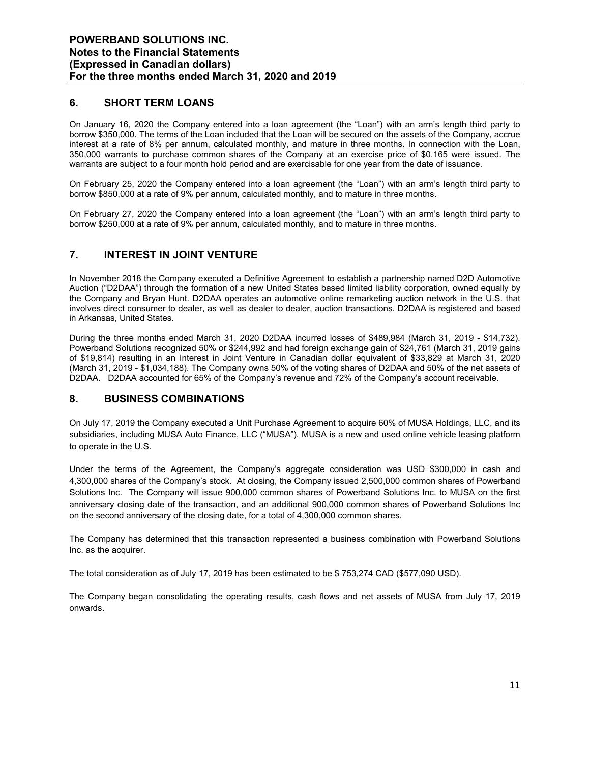### **6. SHORT TERM LOANS**

On January 16, 2020 the Company entered into a loan agreement (the "Loan") with an arm's length third party to borrow \$350,000. The terms of the Loan included that the Loan will be secured on the assets of the Company, accrue interest at a rate of 8% per annum, calculated monthly, and mature in three months. In connection with the Loan, 350,000 warrants to purchase common shares of the Company at an exercise price of \$0.165 were issued. The warrants are subject to a four month hold period and are exercisable for one year from the date of issuance.

On February 25, 2020 the Company entered into a loan agreement (the "Loan") with an arm's length third party to borrow \$850,000 at a rate of 9% per annum, calculated monthly, and to mature in three months.

On February 27, 2020 the Company entered into a loan agreement (the "Loan") with an arm's length third party to borrow \$250,000 at a rate of 9% per annum, calculated monthly, and to mature in three months.

### **7. INTEREST IN JOINT VENTURE**

In November 2018 the Company executed a Definitive Agreement to establish a partnership named D2D Automotive Auction ("D2DAA") through the formation of a new United States based limited liability corporation, owned equally by the Company and Bryan Hunt. D2DAA operates an automotive online remarketing auction network in the U.S. that involves direct consumer to dealer, as well as dealer to dealer, auction transactions. D2DAA is registered and based in Arkansas, United States.

During the three months ended March 31, 2020 D2DAA incurred losses of \$489,984 (March 31, 2019 - \$14,732). Powerband Solutions recognized 50% or \$244,992 and had foreign exchange gain of \$24,761 (March 31, 2019 gains of \$19,814) resulting in an Interest in Joint Venture in Canadian dollar equivalent of \$33,829 at March 31, 2020 (March 31, 2019 - \$1,034,188). The Company owns 50% of the voting shares of D2DAA and 50% of the net assets of D2DAA. D2DAA accounted for 65% of the Company's revenue and 72% of the Company's account receivable.

### **8. BUSINESS COMBINATIONS**

On July 17, 2019 the Company executed a Unit Purchase Agreement to acquire 60% of MUSA Holdings, LLC, and its subsidiaries, including MUSA Auto Finance, LLC ("MUSA"). MUSA is a new and used online vehicle leasing platform to operate in the U.S.

Under the terms of the Agreement, the Company's aggregate consideration was USD \$300,000 in cash and 4,300,000 shares of the Company's stock. At closing, the Company issued 2,500,000 common shares of Powerband Solutions Inc. The Company will issue 900,000 common shares of Powerband Solutions Inc. to MUSA on the first anniversary closing date of the transaction, and an additional 900,000 common shares of Powerband Solutions Inc on the second anniversary of the closing date, for a total of 4,300,000 common shares.

The Company has determined that this transaction represented a business combination with Powerband Solutions Inc. as the acquirer.

The total consideration as of July 17, 2019 has been estimated to be \$ 753,274 CAD (\$577,090 USD).

The Company began consolidating the operating results, cash flows and net assets of MUSA from July 17, 2019 onwards.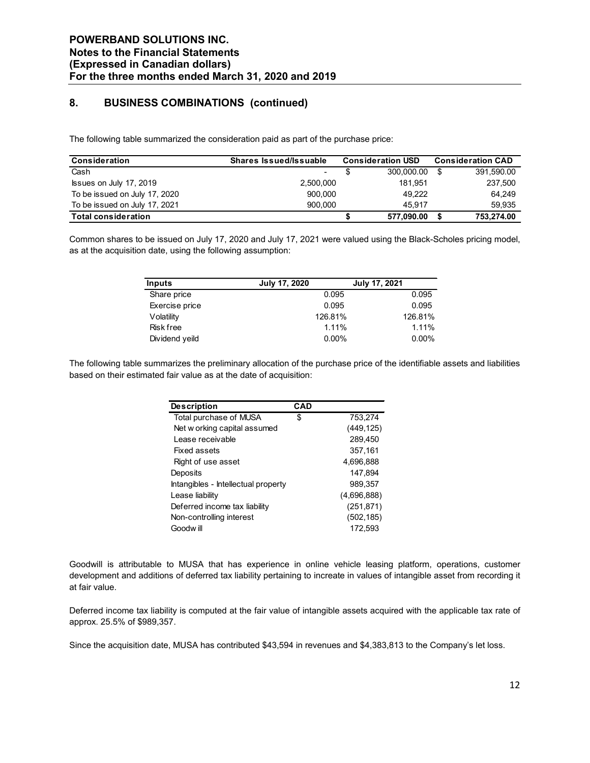### **8. BUSINESS COMBINATIONS (continued)**

The following table summarized the consideration paid as part of the purchase price:

| <b>Consideration</b>          | <b>Shares Issued/Issuable</b> | <b>Consideration USD</b> |            | <b>Consideration CAD</b> |
|-------------------------------|-------------------------------|--------------------------|------------|--------------------------|
| Cash                          | ۰.                            |                          | 300,000.00 | 391,590.00               |
| Issues on July 17, 2019       | 2,500,000                     |                          | 181.951    | 237,500                  |
| To be issued on July 17, 2020 | 900.000                       |                          | 49.222     | 64.249                   |
| To be issued on July 17, 2021 | 900.000                       |                          | 45.917     | 59.935                   |
| <b>Total consideration</b>    |                               |                          | 577,090.00 | 753.274.00               |

Common shares to be issued on July 17, 2020 and July 17, 2021 were valued using the Black-Scholes pricing model, as at the acquisition date, using the following assumption:

| <b>Inputs</b>    | <b>July 17, 2020</b> | July 17, 2021 |
|------------------|----------------------|---------------|
| Share price      | 0.095                | 0.095         |
| Exercise price   | 0.095                | 0.095         |
| Volatility       | 126.81%              | 126.81%       |
| <b>Risk free</b> | 1.11%                | 1.11%         |
| Dividend yeild   | $0.00\%$             | $0.00\%$      |

The following table summarizes the preliminary allocation of the purchase price of the identifiable assets and liabilities based on their estimated fair value as at the date of acquisition:

| <b>Description</b>                  | <b>CAD</b> |             |
|-------------------------------------|------------|-------------|
| Total purchase of MUSA              | \$         | 753,274     |
| Net w orking capital assumed        |            | (449, 125)  |
| Lease receivable                    |            | 289,450     |
| Fixed assets                        |            | 357,161     |
| Right of use asset                  |            | 4,696,888   |
| Deposits                            |            | 147.894     |
| Intangibles - Intellectual property |            | 989.357     |
| Lease liability                     |            | (4,696,888) |
| Deferred income tax liability       |            | (251, 871)  |
| Non-controlling interest            |            | (502, 185)  |
| Goodw ill                           |            | 172.593     |

Goodwill is attributable to MUSA that has experience in online vehicle leasing platform, operations, customer development and additions of deferred tax liability pertaining to increate in values of intangible asset from recording it at fair value.

Deferred income tax liability is computed at the fair value of intangible assets acquired with the applicable tax rate of approx. 25.5% of \$989,357.

Since the acquisition date, MUSA has contributed \$43,594 in revenues and \$4,383,813 to the Company's let loss.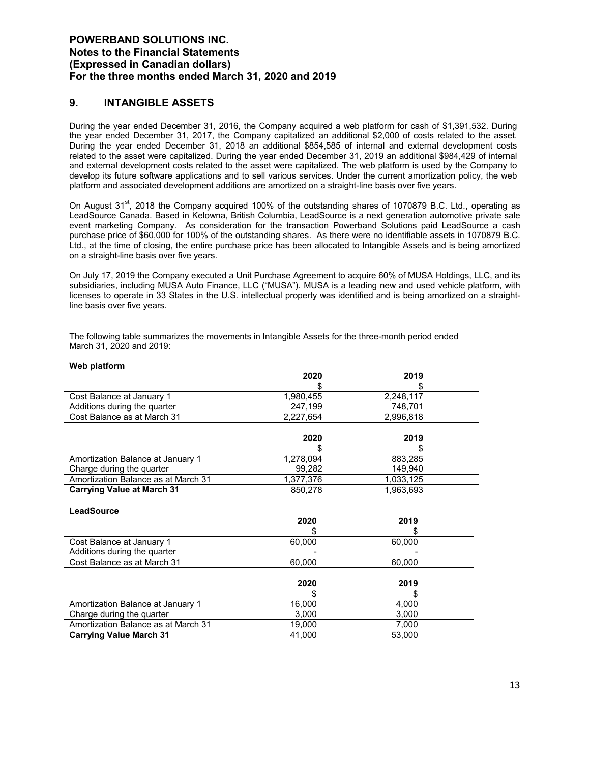### **9. INTANGIBLE ASSETS**

**Web platform**

During the year ended December 31, 2016, the Company acquired a web platform for cash of \$1,391,532. During the year ended December 31, 2017, the Company capitalized an additional \$2,000 of costs related to the asset. During the year ended December 31, 2018 an additional \$854,585 of internal and external development costs related to the asset were capitalized. During the year ended December 31, 2019 an additional \$984,429 of internal and external development costs related to the asset were capitalized. The web platform is used by the Company to develop its future software applications and to sell various services. Under the current amortization policy, the web platform and associated development additions are amortized on a straight-line basis over five years.

On August  $31<sup>st</sup>$ , 2018 the Company acquired 100% of the outstanding shares of 1070879 B.C. Ltd., operating as LeadSource Canada. Based in Kelowna, British Columbia, LeadSource is a next generation automotive private sale event marketing Company. As consideration for the transaction Powerband Solutions paid LeadSource a cash purchase price of \$60,000 for 100% of the outstanding shares. As there were no identifiable assets in 1070879 B.C. Ltd., at the time of closing, the entire purchase price has been allocated to Intangible Assets and is being amortized on a straight-line basis over five years.

On July 17, 2019 the Company executed a Unit Purchase Agreement to acquire 60% of MUSA Holdings, LLC, and its subsidiaries, including MUSA Auto Finance, LLC ("MUSA"). MUSA is a leading new and used vehicle platform, with licenses to operate in 33 States in the U.S. intellectual property was identified and is being amortized on a straightline basis over five years.

The following table summarizes the movements in Intangible Assets for the three-month period ended March 31, 2020 and 2019:

| <i>vvep platform</i>                |           |           |  |
|-------------------------------------|-----------|-----------|--|
|                                     | 2020      | 2019      |  |
|                                     |           | S         |  |
| Cost Balance at January 1           | 1,980,455 | 2,248,117 |  |
| Additions during the quarter        | 247,199   | 748,701   |  |
| Cost Balance as at March 31         | 2,227,654 | 2,996,818 |  |
|                                     |           |           |  |
|                                     | 2020      | 2019      |  |
|                                     |           | \$        |  |
| Amortization Balance at January 1   | 1,278,094 | 883,285   |  |
| Charge during the quarter           | 99,282    | 149,940   |  |
| Amortization Balance as at March 31 | 1,377,376 | 1,033,125 |  |
| <b>Carrying Value at March 31</b>   | 850,278   | 1,963,693 |  |
|                                     |           |           |  |
| LeadSource                          |           |           |  |
|                                     | 2020      | 2019      |  |
|                                     |           |           |  |
| Cost Balance at January 1           | 60,000    | 60,000    |  |
| Additions during the quarter        |           |           |  |
| Cost Balance as at March 31         | 60,000    | 60,000    |  |
|                                     |           |           |  |
|                                     | 2020      | 2019      |  |
|                                     |           |           |  |
| Amortization Balance at January 1   | 16,000    | 4,000     |  |
| Charge during the quarter           | 3,000     | 3,000     |  |
| Amortization Balance as at March 31 | 19,000    | 7,000     |  |
| <b>Carrying Value March 31</b>      | 41,000    | 53,000    |  |
|                                     |           |           |  |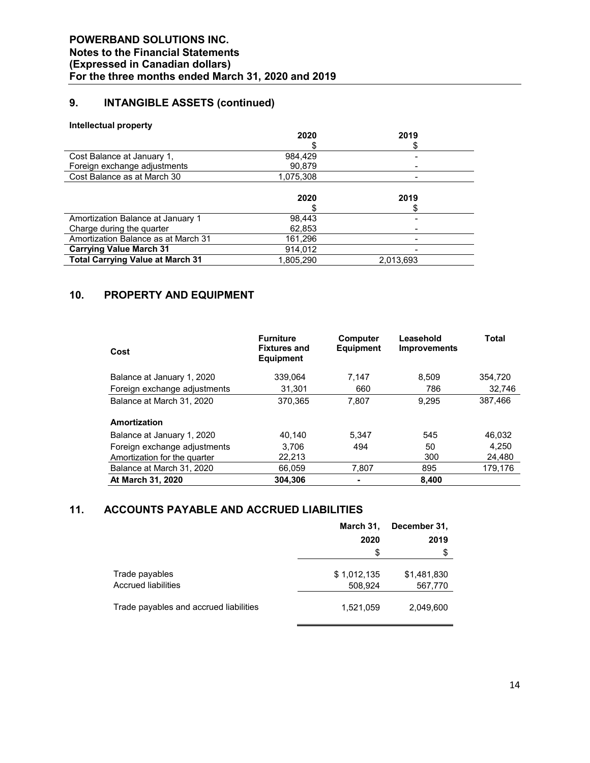## **9. INTANGIBLE ASSETS (continued)**

#### **Intellectual property**

|                                         | 2020      | 2019      |  |
|-----------------------------------------|-----------|-----------|--|
|                                         |           |           |  |
| Cost Balance at January 1,              | 984,429   |           |  |
| Foreign exchange adjustments            | 90,879    |           |  |
| Cost Balance as at March 30             | 1,075,308 |           |  |
|                                         |           |           |  |
|                                         | 2020      | 2019      |  |
|                                         |           |           |  |
| Amortization Balance at January 1       | 98,443    |           |  |
| Charge during the quarter               | 62,853    |           |  |
| Amortization Balance as at March 31     | 161,296   |           |  |
| <b>Carrying Value March 31</b>          | 914,012   |           |  |
| <b>Total Carrying Value at March 31</b> | 1,805,290 | 2,013,693 |  |

### **10. PROPERTY AND EQUIPMENT**

| Cost                         | <b>Furniture</b><br><b>Fixtures and</b><br><b>Equipment</b> | Computer<br><b>Equipment</b> | Leasehold<br><b>Improvements</b> | <b>Total</b> |
|------------------------------|-------------------------------------------------------------|------------------------------|----------------------------------|--------------|
| Balance at January 1, 2020   | 339.064                                                     | 7.147                        | 8.509                            | 354,720      |
| Foreign exchange adjustments | 31,301                                                      | 660                          | 786                              | 32.746       |
| Balance at March 31, 2020    | 370.365                                                     | 7.807                        | 9.295                            | 387.466      |
| Amortization                 |                                                             |                              |                                  |              |
| Balance at January 1, 2020   | 40.140                                                      | 5.347                        | 545                              | 46,032       |
| Foreign exchange adjustments | 3.706                                                       | 494                          | 50                               | 4.250        |
| Amortization for the quarter | 22,213                                                      |                              | 300                              | 24.480       |
| Balance at March 31, 2020    | 66,059                                                      | 7,807                        | 895                              | 179,176      |
| At March 31, 2020            | 304,306                                                     | ۰                            | 8,400                            |              |

### **11. ACCOUNTS PAYABLE AND ACCRUED LIABILITIES**

|                                              | March 31,              | December 31,           |
|----------------------------------------------|------------------------|------------------------|
|                                              | 2020                   | 2019                   |
|                                              | \$                     | \$                     |
| Trade payables<br><b>Accrued liabilities</b> | \$1,012,135<br>508,924 | \$1,481,830<br>567,770 |
|                                              |                        |                        |
| Trade payables and accrued liabilities       | 1,521,059              | 2,049,600              |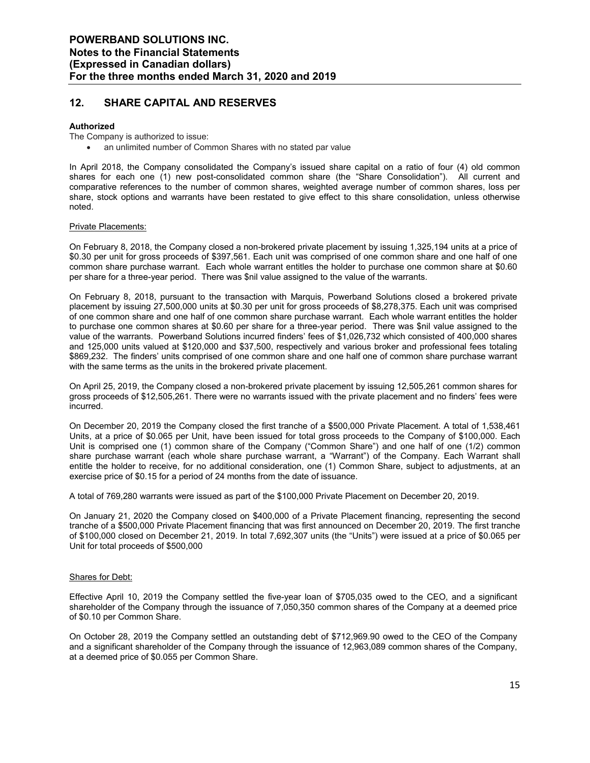### **12. SHARE CAPITAL AND RESERVES**

#### **Authorized**

The Company is authorized to issue:

an unlimited number of Common Shares with no stated par value

In April 2018, the Company consolidated the Company's issued share capital on a ratio of four (4) old common shares for each one (1) new post-consolidated common share (the "Share Consolidation"). All current and comparative references to the number of common shares, weighted average number of common shares, loss per share, stock options and warrants have been restated to give effect to this share consolidation, unless otherwise noted.

#### Private Placements:

On February 8, 2018, the Company closed a non-brokered private placement by issuing 1,325,194 units at a price of \$0.30 per unit for gross proceeds of \$397,561. Each unit was comprised of one common share and one half of one common share purchase warrant. Each whole warrant entitles the holder to purchase one common share at \$0.60 per share for a three-year period. There was \$nil value assigned to the value of the warrants.

On February 8, 2018, pursuant to the transaction with Marquis, Powerband Solutions closed a brokered private placement by issuing 27,500,000 units at \$0.30 per unit for gross proceeds of \$8,278,375. Each unit was comprised of one common share and one half of one common share purchase warrant. Each whole warrant entitles the holder to purchase one common shares at \$0.60 per share for a three-year period. There was \$nil value assigned to the value of the warrants. Powerband Solutions incurred finders' fees of \$1,026,732 which consisted of 400,000 shares and 125,000 units valued at \$120,000 and \$37,500, respectively and various broker and professional fees totaling \$869,232. The finders' units comprised of one common share and one half one of common share purchase warrant with the same terms as the units in the brokered private placement.

On April 25, 2019, the Company closed a non-brokered private placement by issuing 12,505,261 common shares for gross proceeds of \$12,505,261. There were no warrants issued with the private placement and no finders' fees were incurred.

On December 20, 2019 the Company closed the first tranche of a \$500,000 Private Placement. A total of 1,538,461 Units, at a price of \$0.065 per Unit, have been issued for total gross proceeds to the Company of \$100,000. Each Unit is comprised one (1) common share of the Company ("Common Share") and one half of one (1/2) common share purchase warrant (each whole share purchase warrant, a "Warrant") of the Company. Each Warrant shall entitle the holder to receive, for no additional consideration, one (1) Common Share, subject to adjustments, at an exercise price of \$0.15 for a period of 24 months from the date of issuance.

A total of 769,280 warrants were issued as part of the \$100,000 Private Placement on December 20, 2019.

On January 21, 2020 the Company closed on \$400,000 of a Private Placement financing, representing the second tranche of a \$500,000 Private Placement financing that was first announced on December 20, 2019. The first tranche of \$100,000 closed on December 21, 2019. In total 7,692,307 units (the "Units") were issued at a price of \$0.065 per Unit for total proceeds of \$500,000

#### Shares for Debt:

Effective April 10, 2019 the Company settled the five-year loan of \$705,035 owed to the CEO, and a significant shareholder of the Company through the issuance of 7,050,350 common shares of the Company at a deemed price of \$0.10 per Common Share.

On October 28, 2019 the Company settled an outstanding debt of \$712,969.90 owed to the CEO of the Company and a significant shareholder of the Company through the issuance of 12,963,089 common shares of the Company, at a deemed price of \$0.055 per Common Share.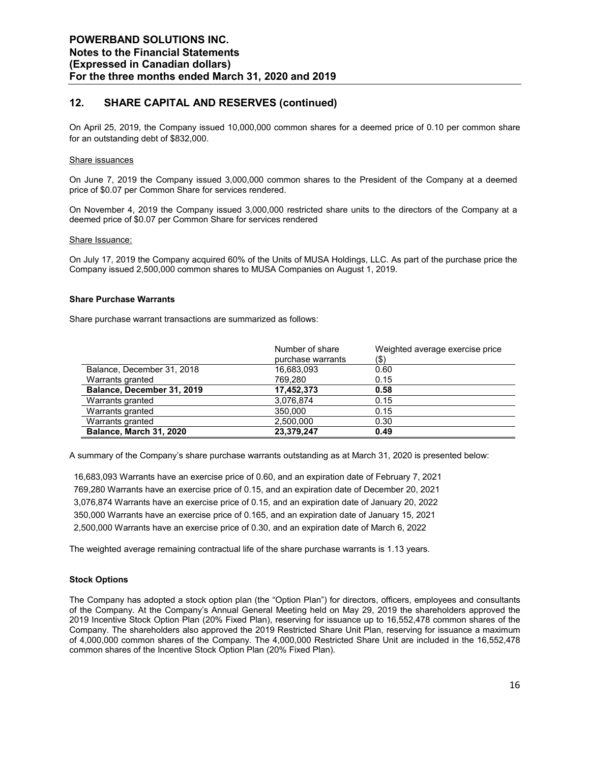### **12. SHARE CAPITAL AND RESERVES (continued)**

On April 25, 2019, the Company issued 10,000,000 common shares for a deemed price of 0.10 per common share for an outstanding debt of \$832,000.

#### Share issuances

On June 7, 2019 the Company issued 3,000,000 common shares to the President of the Company at a deemed price of \$0.07 per Common Share for services rendered.

On November 4, 2019 the Company issued 3,000,000 restricted share units to the directors of the Company at a deemed price of \$0.07 per Common Share for services rendered

#### Share Issuance:

On July 17, 2019 the Company acquired 60% of the Units of MUSA Holdings, LLC. As part of the purchase price the Company issued 2,500,000 common shares to MUSA Companies on August 1, 2019.

#### **Share Purchase Warrants**

Share purchase warrant transactions are summarized as follows:

|                            | Number of share   | Weighted average exercise price |
|----------------------------|-------------------|---------------------------------|
|                            | purchase warrants | $($ \$)                         |
| Balance, December 31, 2018 | 16,683,093        | 0.60                            |
| Warrants granted           | 769.280           | 0.15                            |
| Balance, December 31, 2019 | 17,452,373        | 0.58                            |
| Warrants granted           | 3,076,874         | 0.15                            |
| Warrants granted           | 350,000           | 0.15                            |
| Warrants granted           | 2,500,000         | 0.30                            |
| Balance, March 31, 2020    | 23,379,247        | 0.49                            |

A summary of the Company's share purchase warrants outstanding as at March 31, 2020 is presented below:

16,683,093 Warrants have an exercise price of 0.60, and an expiration date of February 7, 2021 769,280 Warrants have an exercise price of 0.15, and an expiration date of December 20, 2021 3,076,874 Warrants have an exercise price of 0.15, and an expiration date of January 20, 2022 350,000 Warrants have an exercise price of 0.165, and an expiration date of January 15, 2021 2,500,000 Warrants have an exercise price of 0.30, and an expiration date of March 6, 2022

The weighted average remaining contractual life of the share purchase warrants is 1.13 years.

#### **Stock Options**

The Company has adopted a stock option plan (the "Option Plan") for directors, officers, employees and consultants of the Company. At the Company's Annual General Meeting held on May 29, 2019 the shareholders approved the 2019 Incentive Stock Option Plan (20% Fixed Plan), reserving for issuance up to 16,552,478 common shares of the Company. The shareholders also approved the 2019 Restricted Share Unit Plan, reserving for issuance a maximum of 4,000,000 common shares of the Company. The 4,000,000 Restricted Share Unit are included in the 16,552,478 common shares of the Incentive Stock Option Plan (20% Fixed Plan).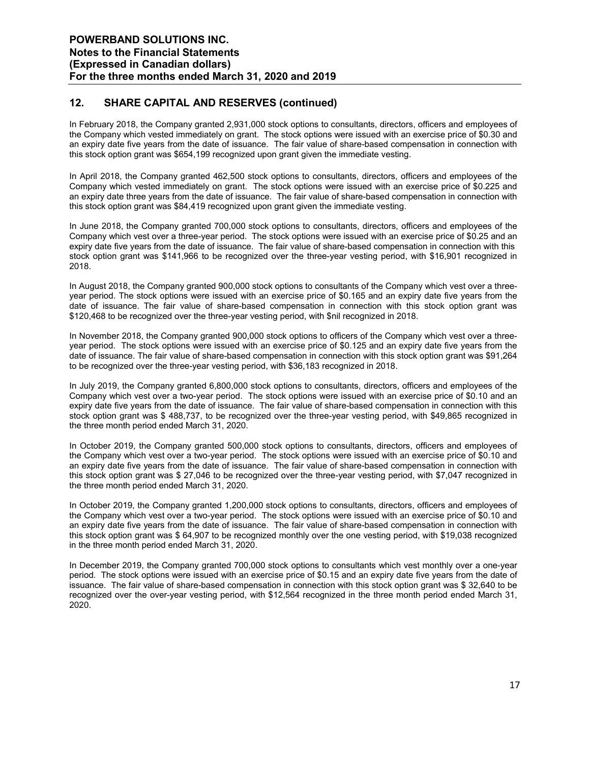### **12. SHARE CAPITAL AND RESERVES (continued)**

In February 2018, the Company granted 2,931,000 stock options to consultants, directors, officers and employees of the Company which vested immediately on grant. The stock options were issued with an exercise price of \$0.30 and an expiry date five years from the date of issuance. The fair value of share-based compensation in connection with this stock option grant was \$654,199 recognized upon grant given the immediate vesting.

In April 2018, the Company granted 462,500 stock options to consultants, directors, officers and employees of the Company which vested immediately on grant. The stock options were issued with an exercise price of \$0.225 and an expiry date three years from the date of issuance. The fair value of share-based compensation in connection with this stock option grant was \$84,419 recognized upon grant given the immediate vesting.

In June 2018, the Company granted 700,000 stock options to consultants, directors, officers and employees of the Company which vest over a three-year period. The stock options were issued with an exercise price of \$0.25 and an expiry date five years from the date of issuance. The fair value of share-based compensation in connection with this stock option grant was \$141,966 to be recognized over the three-year vesting period, with \$16,901 recognized in 2018.

In August 2018, the Company granted 900,000 stock options to consultants of the Company which vest over a threeyear period. The stock options were issued with an exercise price of \$0.165 and an expiry date five years from the date of issuance. The fair value of share-based compensation in connection with this stock option grant was \$120,468 to be recognized over the three-year vesting period, with \$nil recognized in 2018.

In November 2018, the Company granted 900,000 stock options to officers of the Company which vest over a threeyear period. The stock options were issued with an exercise price of \$0.125 and an expiry date five years from the date of issuance. The fair value of share-based compensation in connection with this stock option grant was \$91,264 to be recognized over the three-year vesting period, with \$36,183 recognized in 2018.

In July 2019, the Company granted 6,800,000 stock options to consultants, directors, officers and employees of the Company which vest over a two-year period. The stock options were issued with an exercise price of \$0.10 and an expiry date five years from the date of issuance. The fair value of share-based compensation in connection with this stock option grant was \$ 488,737, to be recognized over the three-year vesting period, with \$49,865 recognized in the three month period ended March 31, 2020.

In October 2019, the Company granted 500,000 stock options to consultants, directors, officers and employees of the Company which vest over a two-year period. The stock options were issued with an exercise price of \$0.10 and an expiry date five years from the date of issuance. The fair value of share-based compensation in connection with this stock option grant was \$ 27,046 to be recognized over the three-year vesting period, with \$7,047 recognized in the three month period ended March 31, 2020.

In October 2019, the Company granted 1,200,000 stock options to consultants, directors, officers and employees of the Company which vest over a two-year period. The stock options were issued with an exercise price of \$0.10 and an expiry date five years from the date of issuance. The fair value of share-based compensation in connection with this stock option grant was \$ 64,907 to be recognized monthly over the one vesting period, with \$19,038 recognized in the three month period ended March 31, 2020.

In December 2019, the Company granted 700,000 stock options to consultants which vest monthly over a one-year period. The stock options were issued with an exercise price of \$0.15 and an expiry date five years from the date of issuance. The fair value of share-based compensation in connection with this stock option grant was \$ 32,640 to be recognized over the over-year vesting period, with \$12,564 recognized in the three month period ended March 31, 2020.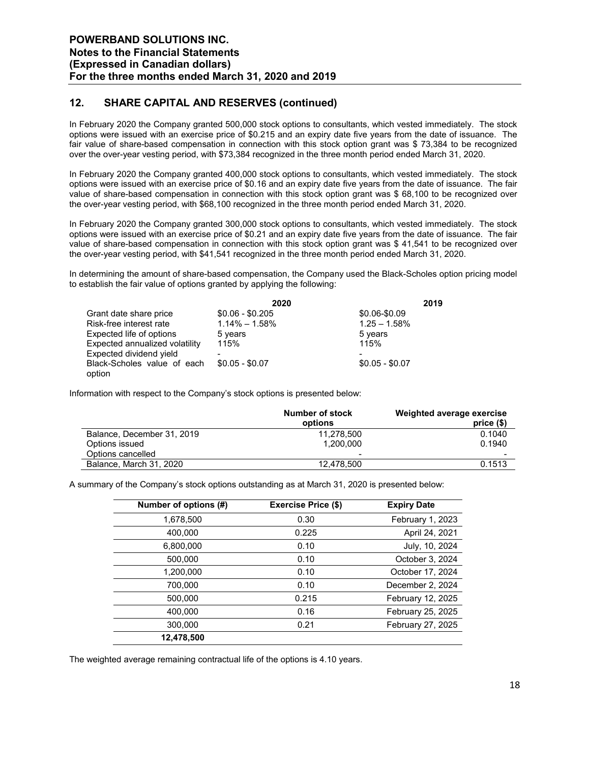### **12. SHARE CAPITAL AND RESERVES (continued)**

In February 2020 the Company granted 500,000 stock options to consultants, which vested immediately. The stock options were issued with an exercise price of \$0.215 and an expiry date five years from the date of issuance. The fair value of share-based compensation in connection with this stock option grant was \$ 73,384 to be recognized over the over-year vesting period, with \$73,384 recognized in the three month period ended March 31, 2020.

In February 2020 the Company granted 400,000 stock options to consultants, which vested immediately. The stock options were issued with an exercise price of \$0.16 and an expiry date five years from the date of issuance. The fair value of share-based compensation in connection with this stock option grant was \$ 68,100 to be recognized over the over-year vesting period, with \$68,100 recognized in the three month period ended March 31, 2020.

In February 2020 the Company granted 300,000 stock options to consultants, which vested immediately. The stock options were issued with an exercise price of \$0.21 and an expiry date five years from the date of issuance. The fair value of share-based compensation in connection with this stock option grant was \$ 41,541 to be recognized over the over-year vesting period, with \$41,541 recognized in the three month period ended March 31, 2020.

In determining the amount of share-based compensation, the Company used the Black-Scholes option pricing model to establish the fair value of options granted by applying the following:

|                                       | 2020              |                 | 2019 |
|---------------------------------------|-------------------|-----------------|------|
| Grant date share price                | $$0.06 - $0.205$  | \$0.06-\$0.09   |      |
| Risk-free interest rate               | $1.14\% - 1.58\%$ | $1.25 - 1.58\%$ |      |
| Expected life of options              | 5 years           | 5 years         |      |
| Expected annualized volatility        | 115%              | 115%            |      |
| Expected dividend yield               |                   |                 |      |
| Black-Scholes value of each<br>option | $$0.05 - $0.07$   | $$0.05 - $0.07$ |      |

Information with respect to the Company's stock options is presented below:

|                            | Number of stock<br>options | Weighted average exercise<br>price $(§)$ |
|----------------------------|----------------------------|------------------------------------------|
| Balance, December 31, 2019 | 11.278.500                 | 0.1040                                   |
| Options issued             | 1.200.000                  | 0.1940                                   |
| Options cancelled          | $\overline{\phantom{0}}$   | -                                        |
| Balance, March 31, 2020    | 12.478.500                 | 0.1513                                   |

A summary of the Company's stock options outstanding as at March 31, 2020 is presented below:

| Number of options (#) | <b>Exercise Price (\$)</b> | <b>Expiry Date</b> |
|-----------------------|----------------------------|--------------------|
| 1,678,500             | 0.30                       | February 1, 2023   |
| 400,000               | 0.225                      | April 24, 2021     |
| 6,800,000             | 0.10                       | July, 10, 2024     |
| 500,000               | 0.10                       | October 3, 2024    |
| 1,200,000             | 0.10                       | October 17, 2024   |
| 700,000               | 0.10                       | December 2, 2024   |
| 500,000               | 0.215                      | February 12, 2025  |
| 400,000               | 0.16                       | February 25, 2025  |
| 300,000               | 0.21                       | February 27, 2025  |
| 12,478,500            |                            |                    |

The weighted average remaining contractual life of the options is 4.10 years.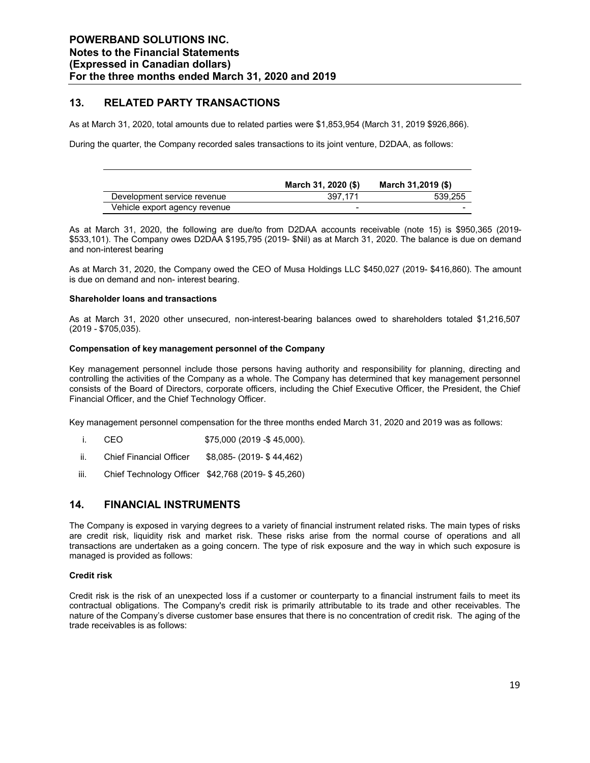### **13. RELATED PARTY TRANSACTIONS**

As at March 31, 2020, total amounts due to related parties were \$1,853,954 (March 31, 2019 \$926,866).

During the quarter, the Company recorded sales transactions to its joint venture, D2DAA, as follows:

|                               | March 31, 2020 (\$) | March 31,2019 (\$) |
|-------------------------------|---------------------|--------------------|
| Development service revenue   | 397.171             | 539.255            |
| Vehicle export agency revenue | -                   | -                  |

As at March 31, 2020, the following are due/to from D2DAA accounts receivable (note 15) is \$950,365 (2019- \$533,101). The Company owes D2DAA \$195,795 (2019- \$Nil) as at March 31, 2020. The balance is due on demand and non-interest bearing

As at March 31, 2020, the Company owed the CEO of Musa Holdings LLC \$450,027 (2019- \$416,860). The amount is due on demand and non- interest bearing.

#### **Shareholder loans and transactions**

As at March 31, 2020 other unsecured, non-interest-bearing balances owed to shareholders totaled \$1,216,507 (2019 - \$705,035).

#### **Compensation of key management personnel of the Company**

Key management personnel include those persons having authority and responsibility for planning, directing and controlling the activities of the Company as a whole. The Company has determined that key management personnel consists of the Board of Directors, corporate officers, including the Chief Executive Officer, the President, the Chief Financial Officer, and the Chief Technology Officer.

Key management personnel compensation for the three months ended March 31, 2020 and 2019 was as follows:

- i. CEO \$75,000 (2019 -\$ 45,000).
- ii. Chief Financial Officer \$8,085- (2019- \$ 44,462)
- iii. Chief Technology Officer \$42,768 (2019- \$ 45,260)

### **14. FINANCIAL INSTRUMENTS**

The Company is exposed in varying degrees to a variety of financial instrument related risks. The main types of risks are credit risk, liquidity risk and market risk. These risks arise from the normal course of operations and all transactions are undertaken as a going concern. The type of risk exposure and the way in which such exposure is managed is provided as follows:

#### **Credit risk**

Credit risk is the risk of an unexpected loss if a customer or counterparty to a financial instrument fails to meet its contractual obligations. The Company's credit risk is primarily attributable to its trade and other receivables. The nature of the Company's diverse customer base ensures that there is no concentration of credit risk. The aging of the trade receivables is as follows: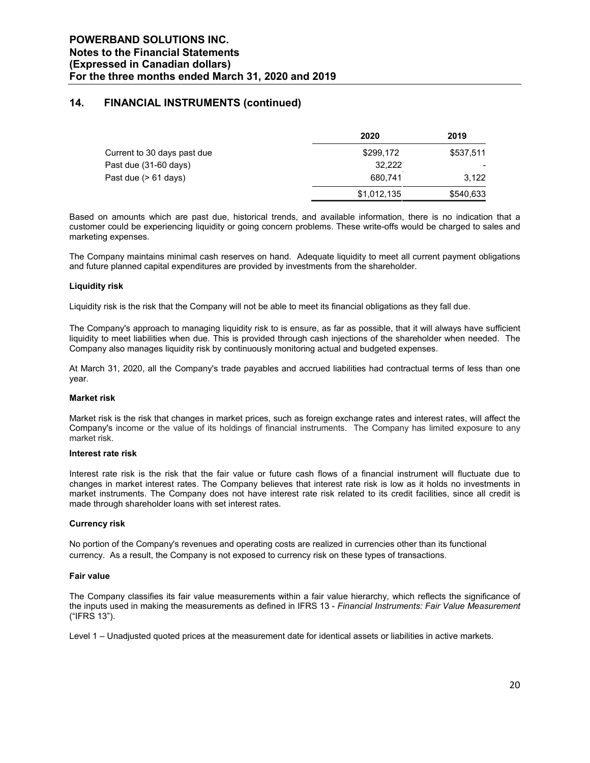### **14. FINANCIAL INSTRUMENTS (continued)**

|                             | 2020        | 2019      |
|-----------------------------|-------------|-----------|
| Current to 30 days past due | \$299,172   | \$537.511 |
| Past due (31-60 days)       | 32.222      |           |
| Past due (> 61 days)        | 680.741     | 3.122     |
|                             | \$1,012,135 | \$540,633 |

Based on amounts which are past due, historical trends, and available information, there is no indication that a customer could be experiencing liquidity or going concern problems. These write-offs would be charged to sales and marketing expenses.

The Company maintains minimal cash reserves on hand. Adequate liquidity to meet all current payment obligations and future planned capital expenditures are provided by investments from the shareholder.

#### **Liquidity risk**

Liquidity risk is the risk that the Company will not be able to meet its financial obligations as they fall due.

The Company's approach to managing liquidity risk to is ensure, as far as possible, that it will always have sufficient liquidity to meet liabilities when due. This is provided through cash injections of the shareholder when needed. The Company also manages liquidity risk by continuously monitoring actual and budgeted expenses.

At March 31, 2020, all the Company's trade payables and accrued liabilities had contractual terms of less than one year.

#### **Market risk**

Market risk is the risk that changes in market prices, such as foreign exchange rates and interest rates, will affect the Company's income or the value of its holdings of financial instruments. The Company has limited exposure to any market risk.

#### **Interest rate risk**

Interest rate risk is the risk that the fair value or future cash flows of a financial instrument will fluctuate due to changes in market interest rates. The Company believes that interest rate risk is low as it holds no investments in market instruments. The Company does not have interest rate risk related to its credit facilities, since all credit is made through shareholder loans with set interest rates.

#### **Currency risk**

No portion of the Company's revenues and operating costs are realized in currencies other than its functional currency. As a result, the Company is not exposed to currency risk on these types of transactions.

#### **Fair value**

The Company classifies its fair value measurements within a fair value hierarchy, which reflects the significance of the inputs used in making the measurements as defined in IFRS 13 - *Financial Instruments: Fair Value Measurement* ("IFRS 13").

Level 1 – Unadjusted quoted prices at the measurement date for identical assets or liabilities in active markets.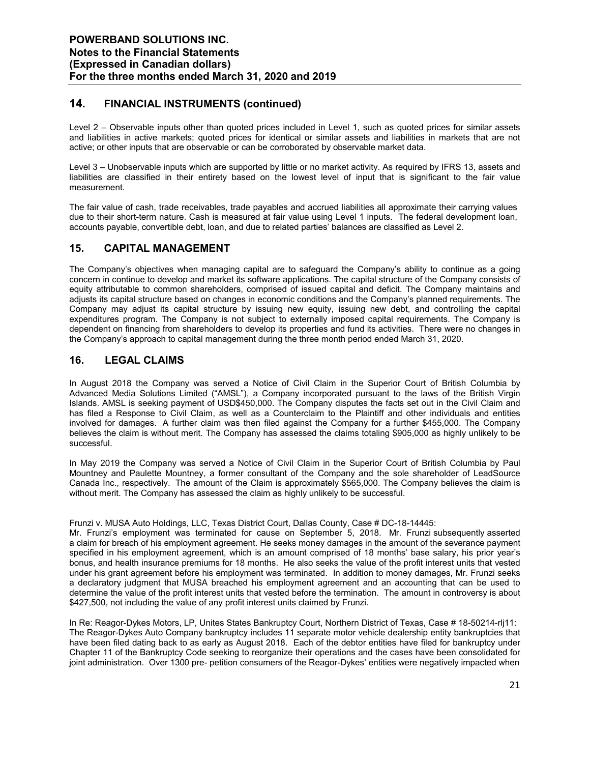### **14. FINANCIAL INSTRUMENTS (continued)**

Level 2 – Observable inputs other than quoted prices included in Level 1, such as quoted prices for similar assets and liabilities in active markets; quoted prices for identical or similar assets and liabilities in markets that are not active; or other inputs that are observable or can be corroborated by observable market data.

Level 3 – Unobservable inputs which are supported by little or no market activity. As required by IFRS 13, assets and liabilities are classified in their entirety based on the lowest level of input that is significant to the fair value measurement.

The fair value of cash, trade receivables, trade payables and accrued liabilities all approximate their carrying values due to their short-term nature. Cash is measured at fair value using Level 1 inputs. The federal development loan, accounts payable, convertible debt, loan, and due to related parties' balances are classified as Level 2.

### **15. CAPITAL MANAGEMENT**

The Company's objectives when managing capital are to safeguard the Company's ability to continue as a going concern in continue to develop and market its software applications. The capital structure of the Company consists of equity attributable to common shareholders, comprised of issued capital and deficit. The Company maintains and adjusts its capital structure based on changes in economic conditions and the Company's planned requirements. The Company may adjust its capital structure by issuing new equity, issuing new debt, and controlling the capital expenditures program. The Company is not subject to externally imposed capital requirements. The Company is dependent on financing from shareholders to develop its properties and fund its activities. There were no changes in the Company's approach to capital management during the three month period ended March 31, 2020.

### **16. LEGAL CLAIMS**

In August 2018 the Company was served a Notice of Civil Claim in the Superior Court of British Columbia by Advanced Media Solutions Limited ("AMSL"), a Company incorporated pursuant to the laws of the British Virgin Islands. AMSL is seeking payment of USD\$450,000. The Company disputes the facts set out in the Civil Claim and has filed a Response to Civil Claim, as well as a Counterclaim to the Plaintiff and other individuals and entities involved for damages. A further claim was then filed against the Company for a further \$455,000. The Company believes the claim is without merit. The Company has assessed the claims totaling \$905,000 as highly unlikely to be successful.

In May 2019 the Company was served a Notice of Civil Claim in the Superior Court of British Columbia by Paul Mountney and Paulette Mountney, a former consultant of the Company and the sole shareholder of LeadSource Canada Inc., respectively. The amount of the Claim is approximately \$565,000. The Company believes the claim is without merit. The Company has assessed the claim as highly unlikely to be successful.

Frunzi v. MUSA Auto Holdings, LLC, Texas District Court, Dallas County, Case # DC-18-14445:

Mr. Frunzi's employment was terminated for cause on September 5, 2018. Mr. Frunzi subsequently asserted a claim for breach of his employment agreement. He seeks money damages in the amount of the severance payment specified in his employment agreement, which is an amount comprised of 18 months' base salary, his prior year's bonus, and health insurance premiums for 18 months. He also seeks the value of the profit interest units that vested under his grant agreement before his employment was terminated. In addition to money damages, Mr. Frunzi seeks a declaratory judgment that MUSA breached his employment agreement and an accounting that can be used to determine the value of the profit interest units that vested before the termination. The amount in controversy is about \$427,500, not including the value of any profit interest units claimed by Frunzi.

In Re: Reagor-Dykes Motors, LP, Unites States Bankruptcy Court, Northern District of Texas, Case # 18-50214-rlj11: The Reagor-Dykes Auto Company bankruptcy includes 11 separate motor vehicle dealership entity bankruptcies that have been filed dating back to as early as August 2018. Each of the debtor entities have filed for bankruptcy under Chapter 11 of the Bankruptcy Code seeking to reorganize their operations and the cases have been consolidated for joint administration. Over 1300 pre- petition consumers of the Reagor-Dykes' entities were negatively impacted when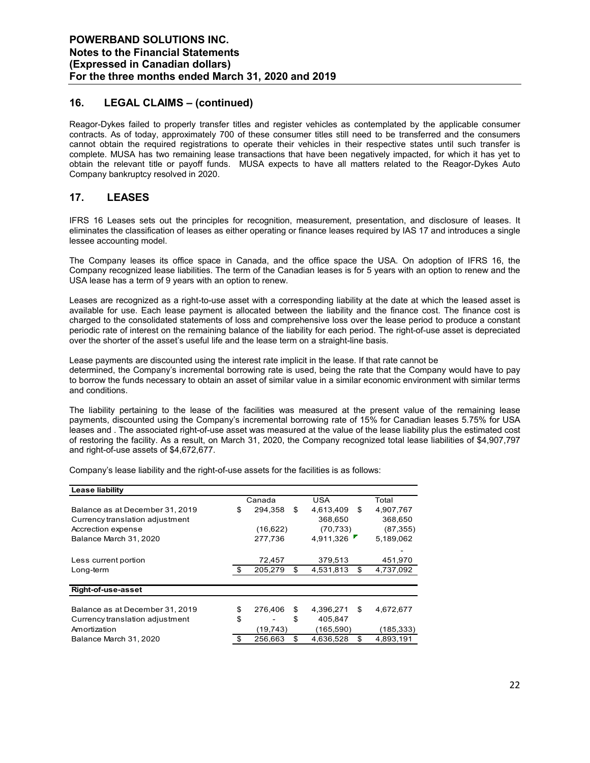### **16. LEGAL CLAIMS – (continued)**

Reagor-Dykes failed to properly transfer titles and register vehicles as contemplated by the applicable consumer contracts. As of today, approximately 700 of these consumer titles still need to be transferred and the consumers cannot obtain the required registrations to operate their vehicles in their respective states until such transfer is complete. MUSA has two remaining lease transactions that have been negatively impacted, for which it has yet to obtain the relevant title or payoff funds. MUSA expects to have all matters related to the Reagor-Dykes Auto Company bankruptcy resolved in 2020.

### **17. LEASES**

IFRS 16 Leases sets out the principles for recognition, measurement, presentation, and disclosure of leases. It eliminates the classification of leases as either operating or finance leases required by IAS 17 and introduces a single lessee accounting model.

The Company leases its office space in Canada, and the office space the USA. On adoption of IFRS 16, the Company recognized lease liabilities. The term of the Canadian leases is for 5 years with an option to renew and the USA lease has a term of 9 years with an option to renew.

Leases are recognized as a right-to-use asset with a corresponding liability at the date at which the leased asset is available for use. Each lease payment is allocated between the liability and the finance cost. The finance cost is charged to the consolidated statements of loss and comprehensive loss over the lease period to produce a constant periodic rate of interest on the remaining balance of the liability for each period. The right-of-use asset is depreciated over the shorter of the asset's useful life and the lease term on a straight-line basis.

Lease payments are discounted using the interest rate implicit in the lease. If that rate cannot be determined, the Company's incremental borrowing rate is used, being the rate that the Company would have to pay to borrow the funds necessary to obtain an asset of similar value in a similar economic environment with similar terms and conditions.

The liability pertaining to the lease of the facilities was measured at the present value of the remaining lease payments, discounted using the Company's incremental borrowing rate of 15% for Canadian leases 5.75% for USA leases and . The associated right-of-use asset was measured at the value of the lease liability plus the estimated cost of restoring the facility. As a result, on March 31, 2020, the Company recognized total lease liabilities of \$4,907,797 and right-of-use assets of \$4,672,677.

| Lease liability                 |                      |    |            |    |            |
|---------------------------------|----------------------|----|------------|----|------------|
|                                 | <b>USA</b><br>Canada |    |            |    | Total      |
| Balance as at December 31, 2019 | \$<br>294,358        | \$ | 4,613,409  | \$ | 4,907,767  |
| Currency translation adjustment |                      |    | 368,650    |    | 368,650    |
| Accrection expense              | (16,622)             |    | (70, 733)  |    | (87, 355)  |
| Balance March 31, 2020          | 277.736              |    | 4.911.326  |    | 5,189,062  |
|                                 |                      |    |            |    |            |
| Less current portion            | 72,457               |    | 379,513    |    | 451,970    |
| Long-term                       | 205,279              | \$ | 4,531,813  | \$ | 4,737,092  |
| Right-of-use-asset              |                      |    |            |    |            |
| Balance as at December 31, 2019 | \$<br>276,406        | \$ | 4,396,271  | \$ | 4,672,677  |
| Currency translation adjustment | \$                   | \$ | 405,847    |    |            |
| Amortization                    | (19, 743)            |    | (165, 590) |    | (185, 333) |
| Balance March 31, 2020          | \$<br>256.663        | \$ | 4.636.528  | \$ | 4.893.191  |

Company's lease liability and the right-of-use assets for the facilities is as follows: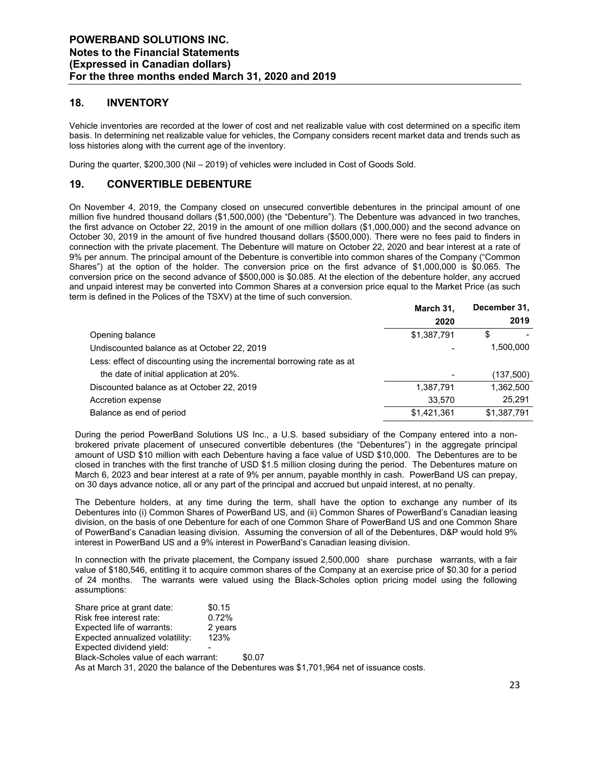### **18. INVENTORY**

Vehicle inventories are recorded at the lower of cost and net realizable value with cost determined on a specific item basis. In determining net realizable value for vehicles, the Company considers recent market data and trends such as loss histories along with the current age of the inventory.

During the quarter, \$200,300 (Nil – 2019) of vehicles were included in Cost of Goods Sold.

### **19. CONVERTIBLE DEBENTURE**

On November 4, 2019, the Company closed on unsecured convertible debentures in the principal amount of one million five hundred thousand dollars (\$1,500,000) (the "Debenture"). The Debenture was advanced in two tranches, the first advance on October 22, 2019 in the amount of one million dollars (\$1,000,000) and the second advance on October 30, 2019 in the amount of five hundred thousand dollars (\$500,000). There were no fees paid to finders in connection with the private placement. The Debenture will mature on October 22, 2020 and bear interest at a rate of 9% per annum. The principal amount of the Debenture is convertible into common shares of the Company ("Common Shares") at the option of the holder. The conversion price on the first advance of \$1,000,000 is \$0.065. The conversion price on the second advance of \$500,000 is \$0.085. At the election of the debenture holder, any accrued and unpaid interest may be converted into Common Shares at a conversion price equal to the Market Price (as such term is defined in the Polices of the TSXV) at the time of such conversion.

|                                                                        | March 31,   | December 31, |
|------------------------------------------------------------------------|-------------|--------------|
|                                                                        | 2020        | 2019         |
| Opening balance                                                        | \$1,387,791 | \$           |
| Undiscounted balance as at October 22, 2019                            |             | 1,500,000    |
| Less: effect of discounting using the incremental borrowing rate as at |             |              |
| the date of initial application at 20%.                                |             | (137,500)    |
| Discounted balance as at October 22, 2019                              | 1,387,791   | 1,362,500    |
| Accretion expense                                                      | 33.570      | 25,291       |
| Balance as end of period                                               | \$1,421,361 | \$1,387,791  |

During the period PowerBand Solutions US Inc., a U.S. based subsidiary of the Company entered into a nonbrokered private placement of unsecured convertible debentures (the "Debentures") in the aggregate principal amount of USD \$10 million with each Debenture having a face value of USD \$10,000. The Debentures are to be closed in tranches with the first tranche of USD \$1.5 million closing during the period. The Debentures mature on March 6, 2023 and bear interest at a rate of 9% per annum, payable monthly in cash. PowerBand US can prepay, on 30 days advance notice, all or any part of the principal and accrued but unpaid interest, at no penalty.

The Debenture holders, at any time during the term, shall have the option to exchange any number of its Debentures into (i) Common Shares of PowerBand US, and (ii) Common Shares of PowerBand's Canadian leasing division, on the basis of one Debenture for each of one Common Share of PowerBand US and one Common Share of PowerBand's Canadian leasing division. Assuming the conversion of all of the Debentures, D&P would hold 9% interest in PowerBand US and a 9% interest in PowerBand's Canadian leasing division.

In connection with the private placement, the Company issued 2,500,000 share purchase warrants, with a fair value of \$180,546, entitling it to acquire common shares of the Company at an exercise price of \$0.30 for a period of 24 months. The warrants were valued using the Black-Scholes option pricing model using the following assumptions:

Share price at grant date: \$0.15 Risk free interest rate: 0.72% Expected life of warrants: 2 years Expected annualized volatility: 123% Expected dividend yield: Black-Scholes value of each warrant: \$0.07

As at March 31, 2020 the balance of the Debentures was \$1,701,964 net of issuance costs.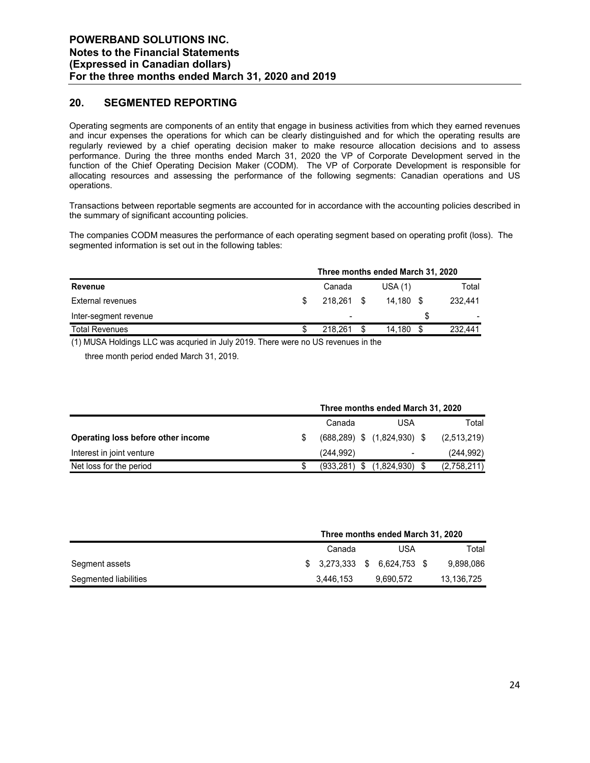### **20. SEGMENTED REPORTING**

Operating segments are components of an entity that engage in business activities from which they earned revenues and incur expenses the operations for which can be clearly distinguished and for which the operating results are regularly reviewed by a chief operating decision maker to make resource allocation decisions and to assess performance. During the three months ended March 31, 2020 the VP of Corporate Development served in the function of the Chief Operating Decision Maker (CODM). The VP of Corporate Development is responsible for allocating resources and assessing the performance of the following segments: Canadian operations and US operations.

Transactions between reportable segments are accounted for in accordance with the accounting policies described in the summary of significant accounting policies.

The companies CODM measures the performance of each operating segment based on operating profit (loss). The segmented information is set out in the following tables:

|                                                                  | Three months ended March 31, 2020 |                          |                 |             |  |         |  |
|------------------------------------------------------------------|-----------------------------------|--------------------------|-----------------|-------------|--|---------|--|
| <b>Revenue</b>                                                   |                                   | Canada                   |                 | USA(1)      |  | Total   |  |
| External revenues                                                |                                   | 218.261                  | - \$            | $14.180$ \$ |  | 232.441 |  |
| Inter-segment revenue                                            |                                   |                          |                 |             |  |         |  |
| <b>Total Revenues</b>                                            |                                   | 218.261                  |                 | 14.180      |  | 232.441 |  |
| $(1)$ $\cdots$ $\cdots$<br>.<br>$\sim$ $\sim$ $\sim$<br>$\cdots$ |                                   | $\overline{\phantom{a}}$ | $\cdot$ $\cdot$ |             |  |         |  |

(1) MUSA Holdings LLC was acquried in July 2019. There were no US revenues in the three month period ended March 31, 2019.

|                                    |               | Three months ended March 31, 2020 |                                    |  |             |  |  |  |
|------------------------------------|---------------|-----------------------------------|------------------------------------|--|-------------|--|--|--|
|                                    | Canada<br>USA |                                   |                                    |  |             |  |  |  |
| Operating loss before other income |               |                                   | $(688, 289)$ \$ $(1, 824, 930)$ \$ |  | (2,513,219) |  |  |  |
| Interest in joint venture          |               | (244.992)                         | $\blacksquare$                     |  | (244, 992)  |  |  |  |
| Net loss for the period            |               | (933.281)                         | (1.824.930)                        |  | (2,758,211) |  |  |  |

|                       | Three months ended March 31, 2020 |                                       |  |           |  |            |  |  |
|-----------------------|-----------------------------------|---------------------------------------|--|-----------|--|------------|--|--|
|                       |                                   | Canada                                |  |           |  | Total      |  |  |
| Segment assets        |                                   | $$3,273,333 \quad $6,624,753 \quad $$ |  |           |  | 9,898,086  |  |  |
| Segmented liabilities |                                   | 3,446,153                             |  | 9.690.572 |  | 13,136,725 |  |  |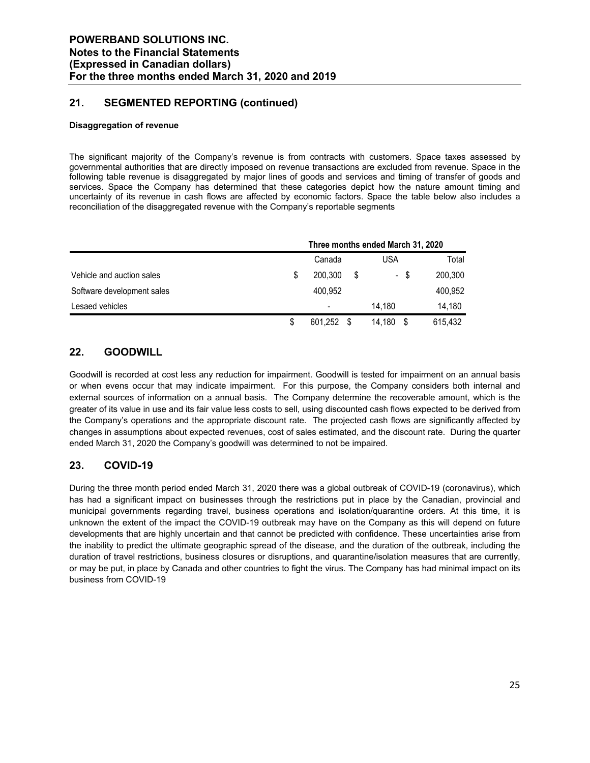### **21. SEGMENTED REPORTING (continued)**

#### **Disaggregation of revenue**

The significant majority of the Company's revenue is from contracts with customers. Space taxes assessed by governmental authorities that are directly imposed on revenue transactions are excluded from revenue. Space in the following table revenue is disaggregated by major lines of goods and services and timing of transfer of goods and services. Space the Company has determined that these categories depict how the nature amount timing and uncertainty of its revenue in cash flows are affected by economic factors. Space the table below also includes a reconciliation of the disaggregated revenue with the Company's reportable segments

|                            |   | Three months ended March 31, 2020 |    |        |      |         |
|----------------------------|---|-----------------------------------|----|--------|------|---------|
|                            |   | Canada                            |    | USA    |      | Total   |
| Vehicle and auction sales  | S | 200.300                           | \$ |        | - \$ | 200,300 |
| Software development sales |   | 400.952                           |    |        |      | 400,952 |
| Lesaed vehicles            |   |                                   |    | 14.180 |      | 14,180  |
|                            |   | 601,252                           |    | 14.180 |      | 615.432 |

### **22. GOODWILL**

Goodwill is recorded at cost less any reduction for impairment. Goodwill is tested for impairment on an annual basis or when evens occur that may indicate impairment. For this purpose, the Company considers both internal and external sources of information on a annual basis. The Company determine the recoverable amount, which is the greater of its value in use and its fair value less costs to sell, using discounted cash flows expected to be derived from the Company's operations and the appropriate discount rate. The projected cash flows are significantly affected by changes in assumptions about expected revenues, cost of sales estimated, and the discount rate. During the quarter ended March 31, 2020 the Company's goodwill was determined to not be impaired.

### **23. COVID-19**

During the three month period ended March 31, 2020 there was a global outbreak of COVID-19 (coronavirus), which has had a significant impact on businesses through the restrictions put in place by the Canadian, provincial and municipal governments regarding travel, business operations and isolation/quarantine orders. At this time, it is unknown the extent of the impact the COVID-19 outbreak may have on the Company as this will depend on future developments that are highly uncertain and that cannot be predicted with confidence. These uncertainties arise from the inability to predict the ultimate geographic spread of the disease, and the duration of the outbreak, including the duration of travel restrictions, business closures or disruptions, and quarantine/isolation measures that are currently, or may be put, in place by Canada and other countries to fight the virus. The Company has had minimal impact on its business from COVID-19